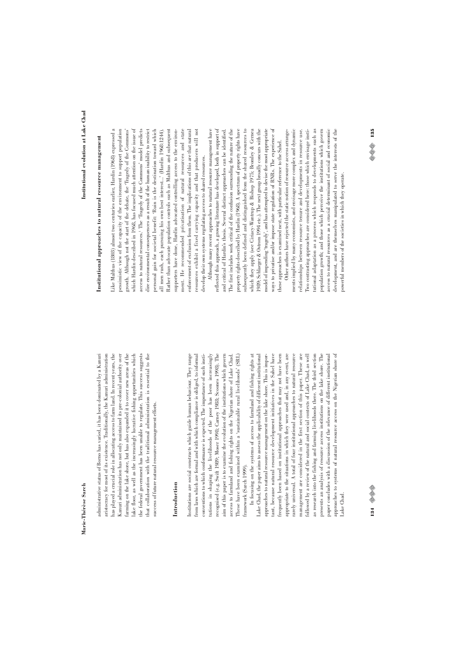farming on the lake shore, but has also expanded it to cover new areas of the administrative status of Borno has varied, it has been dominated by a Kanuri administrative status of Borno has varied, it has been dominated by a Kanuri aristocracy for most of its existence. Traditionally, the Kanuri administration aristocracy for most of its existence. Traditionally, the Kanuri administration has played a crucial role in allocating access to farm land. In recent years, the has played a crucial role in allocating access to farm land. In recent years, the Kanuri administration has not only maintained its pre-colonial authority over Kanuri administration has not only maintained its pre-colonial authority over farming on the lake shore, but has also expanded it to cover new areas of the lake floor, as well as the increasingly lucrative fishing opportunities which lake floor, as well as the increasingly lucrative fishing opportunities which the federal government has been unable to regulate. This success suggests the federal government has been unable to regulate. This success suggests hat collaboration with the traditional administration is essential to the that collaboration with the traditional administration is essential to the success of future natural resource management efforts. success of future natural resource management efforts.

# **Introduction**

utions in shaping the livelihoods of the poor has been increasingly Institutions are social constructs which guide human behaviour. They range Institutions are social constructs which guide human behaviour. They range from laws which are formal and with which compliance is obliged, to informal from laws which are formal and with which compliance is obliged, to informal conventions to which conformance is expected. The importance of such insticonventions to which conformance is expected. The importance of such institutions in shaping the livelihoods of the poor has been increasingly recognised (e.g. Swift 1989; Moser 1998; Carney 1988; Scoones 1998). The recognised (e.g. Swift 1989; Moser 1998; Carney 1988; Scoones 1998). The aim of this paper is to examine the evolution of the institutions which govern aim of this paper is to examine the evolution of the institutions which govern access to farmland and fishing rights on the Nigerian shore of Lake Chad. These have been examined within a 'sustainable rural livelihoods' (SRL) access to farmland and fishing rights on the Nigerian shore of Lake Chad. These have been examined within a 'sustainable rural livelihoods' (SRL) framework (Sarch 1999). framework (Sarch 1999).

In focusing on the systems of access to farmland and fishing rights at Lake Chad, the paper aims to assess the applicability of different institutional approaches to natural resource management on the lake shore. This is imporant, because natural resource development initiatives in the Sahel have frequently been based on institutional approaches that may not have been followed by a review of the natural and social contexts of Lake Chad, as well In focusing on the systems of access to farmland and fishing rights at Lake Chad, the paper aims to assess the applicability of different institutional approaches to natural resource management on the lake shore. This is important, because natural resource development initiatives in the Sahel have frequently been based on institutional approaches that may not have been appropriate to the situations in which they were used and, in any event, are appropriate to the situations in which they were used and, in any event, are carely universal. A total of four institutional approaches to natural resource rarely universal. A total of four institutional approaches to natural resource management are considered in the first section of this paper. These are management are considered in the first section of this paper. These are followed by a review of the natural and social contexts of Lake Chad, as well as research into the fishing and farming livelihoods there. The third section as research into the fishing and farming livelihoods there. The third section presents an analysis of resource access institutions on the lake shore. The presents an analysis of resource access institutions on the lake shore. The paper concludes with a discussion of the relevance of different institutional paper concludes with a discussion of the relevance of different institutional pproaches to systems of natural resource access on the Nigerian shore of approaches to systems of natural resource access on the Nigerian shore of ake Chad. Lake Chad.

# Institutional approaches to natural resource management **Institutional approaches to natural resource management**

ike Malthus (1803) almost two centuries earlier, Hardin (1968) expressed a personal gain for societal benefit: 'Ruin is the destination toward which Like Malthus (1803) almost two centuries earlier, Hardin (1968) expressed a pessimistic view of the capacity of the environment to support population pessimistic view of the capacity of the environment to support population growth. Although not the start of the debate, the 'Tragedy of the Commons' which Hardin described in 1968, has focused much attention on the issue of which Hardin described in 1968, has focused much attention on the issue of access to natural resources.<sup>1</sup> The "Tragedy of the Commons' model predicts lire environmental consequences as a result of the human inability to restrict dire environmental consequences as a result of the human inability to restrict oersonal gain for societal benefit: 'Ruin is the destination toward which all men rush, each pursuing his own best interest...' (Hardin 1968:1244). Rather than advocate population controls such as Malthus and subsequent Rather than advocate population controls such as Malthus and subsequent supporters have done, Hardin advocated controlling access to the environment. He recommended privatisation of natural resources and state ment. He recommended privatisation of natural resources and state enforcement of exclusion from them. The implications of this are that natural enforcement of exclusion from them. The implications of this are that natural resources exhibit a fixed carrying capacity and that producers will not resources exhibit a fixed carrying capacity and that producers will not growth. Although not the start of the debate, the 'Tragedy of the Commons' access to natural resources.1 The 'Tragedy of the Commons' model predicts all men rush, each pursuing his own best interest...' (Hardin 1968:1244). supporters have done, Hardin advocated controlling access to the environdevelop their own systems regulating access to shared resources. develop their own systems regulating access to shared resources.

subsequently been defined and distinguished from the shared resources to which they apply (see Ciriacy-Wantrup & Bishop 1975; Bromley & Cernea model of impending 'tragedy', and has attempted to devise the most appropriate ways to privatise and/or impose state regulation of RNRs. The experience of Although many recent approaches to natural resource management have Although many recent approaches to natural resource management have reflected this approach, a growing literature has developed, both in support of reflected this approach, a growing literature has developed, both in support of and critical of Hardin's thesis. Several distinct approaches can be identified. The first includes work critical of the confusion surrounding the nature of the The first includes work critical of the confusion surrounding the nature of the property rights described by Hardin (1968). A spectrum of property rights have property rights described by Hardin (1968). A spectrum of property rights have subsequently been defined and distinguished from the shared resources to which they apply (see Ciriacy-Wantrup & Bishop 1975; Bromley & Cernea 1989; Schlaeger & Ostrom 1994 etc.). The next group broadly concurs with the 1989; Schlaeger & Ostrom 1994 etc.). The next group broadly concurs with the model of impending 'tragedy', and has attempted to devise the most appropriate ways to privatise and/or impose state regulation of RNRs. The experience of and critical of Hardin's thesis. Several distinct approaches can be identified. these approaches is examined next, with particular reference to the Sahel. these approaches is examined next, with particular reference to the Sahel.

Other authors have rejected the static notion of resource access arrangements implied by many economists, and envisage more complex and dynamic relationships between resource tenure and developments in resource use. Iwo contrasting approaches are considered here: those which envisage instiutional adaptation as a process which responds to developments such as copulation growth; and those which perceive the institutions which govern population growth; and those which perceive the institutions which govern access to natural resources as a crucial determinant of social and economic development, and are themselves manipulated to serve the interests of the development, and are themselves manipulated to serve the interests of the Other authors have rejected the static notion of resource access arrangements implied by many economists, and envisage more complex and dynamic relationships between resource tenure and developments in resource use. Two contrasting approaches are considered here: those which envisage institutional adaptation as a process which responds to developments such as access to natural resources as a crucial determinant of social and economic overful members of the societies in which they operate. powerful members of the societies in which they operate.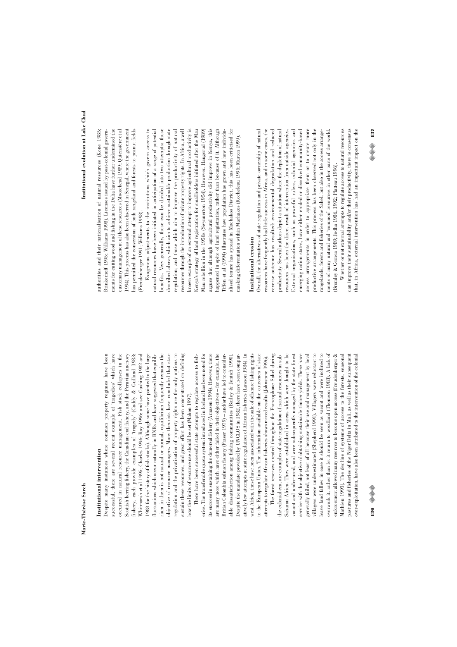# Institutional intervention **Institutional intervention**

successful, there are several recent example of 'tragedies' which have Scottish herring fishery, the Canadian cod fishery, and the Peruvian anchovy rium in them is not natural or normal, equilibrium frequently remains the objective of resource managers. Many theorists have concluded that state regulation and the privatisation of property rights are the only options to Despite many instances where common property regimes have been Despite many instances where common property regimes have been successful, there are several recent example of 'tragedies' which have occurred in natural resource management. Fish stock collapses in the occurred in natural resource management. Fish stock collapses in the Scottish herring fishery, the Canadian cod fishery, and the Peruvian anchovy ishery, each provide examples of 'tragedy' (Caddy & Gulland 1983; Whitmarsh et al 1995; Charles 1996; Roy 1996; and see Cushing 1982 and Whitmarsh et al 1995; Charles 1996; Roy 1996; and see Cushing 1982 and 988 for the history of fish stocks). Although some have pointed to the large 1988 for the history of fish stocks). Although some have pointed to the large luctuations which occur naturally in RNRs and have suggested that equilibfluctuations which occur naturally in RNRs and have suggested that equilibrium in them is not natural or normal, equilibrium frequently remains the objective of resource managers. Many theorists have concluded that state regulation and the privatisation of property rights are the only options to sustain these resources, and great effort has been concentrated on defining sustain these resources, and great effort has been concentrated on defining fishery, each provide examples of 'tragedy' (Caddy & Gulland 1983; how the limits of resource use should be set (Mahon 1997). how the limits of resource use should be set (Mahon 1997).

its success in sustaining the demersal fishery (Amason 1994). However, there o the European Union. The information available on the outcomes of state There have been successful state attempts to regulate access to fish-There have been successful state attempts to regulate access to fisheries. The transferable quota system introduced in Iceland has been noted for eries. The transferable quota system introduced in Iceland has been noted for its success in sustaining the demersal fishery (Arnason 1994). However, there are many more which have either failed in their objectives - for example, the are many more which have either failed in their objectives – for example, the British Colombia salmon fishery (Fraser 1979) - and/or have led to consider-British Colombia salmon fishery (Fraser 1979) – and/or have led to considerable dissatisfaction among fishing communities (Bailey & Jentoft 1990). Despite the mandate provided by UNCLOS in 1982, there have been compar-Despite the mandate provided by UNCLOS in 1982, there have been comparatively few attempts at state regulation of African fisheries (Lawson 1984). In atively few attempts at state regulation of African fisheries (Lawson 1984). In west Africa, these have been associated with the sale of offshore fishing rights west Africa, these have been associated with the sale of offshore fishing rights to the European Union. The information available on the outcomes of state able dissatisfaction among fishing communities (Bailey & Jentoft 1990). attempts to regulate African fisheries shows mixed results (Johnstone 1996). attempts to regulate African fisheries shows mixed results (Johnstone 1996).

Saharan Africa. They were established in areas which were thought to be service with the objective of obtaining sustainable timber yields. These have villagers were underestimated (Shepherd 1991). Villagers were reluctant to eave land fallow in case it should be seen as vacant and were inclined to overwork it, rather than let it return to woodland (Thomson 1983). A lack of enforcement allowed many reserves to become open access (Freudenberger & The forest reserves created throughout the Francophone Sahel during The forest reserves created throughout the Francophone Sahel during the colonial era, are examples of state regulation of natural resources in subthe colonial era, are examples of state regulation of natural resources in sub-Saharan Africa. They were established in areas which were thought to be vacant and under-used, and were subsequently managed by the state forest vacant and under-used, and were subsequently managed by the state forest service with the objective of obtaining sustainable timber yields. These have generally failed, not least of all because their use and management by local generally failed, not least of all because their use and management by local villagers were underestimated (Shepherd 1991). Villagers were reluctant to leave land fallow in case it should be seen as vacant and were inclined to overwork it, rather than let it return to woodland (Thomson 1983). A lack of enforcement allowed many reserves to become open access (Freudenberger & Mathieu 1993). The decline of systems of access to the forests, seasonal Mathieu 1993). The decline of systems of access to the forests, seasonal pastures and fisheries of the Niger Delta in Mali, as well as their subsequent pastures and fisheries of the Niger Delta in Mali, as well as their subsequent wer-exploitation, have also been attributed to the intervention of the colonial over-exploitation, have also been attributed to the intervention of the colonial

authorities and their nationalisation of natural resources (Kone 1985; Brinkerhoff 1995; Williams 1998). Licenses issued by post-colonial governments for cutting wood and fishing in the Delta have further undermined the ments for cutting wood and fishing in the Delta have further undermined the customary management of these resources (Moorehead 1989; Quiensière et al customary management of these resources (Moorehead 1989; Quiensière et al (994). This process has also been observed in Senegal, where the government 1994). This process has also been observed in Senegal, where the government nas permitted the conversion of both rangeland and forests to peanut fields authorities and their nationalisation of natural resources (Kone 1985; Brinkerhoff 1995; Williams 1998). Licenses issued by post-colonial governhas permitted the conversion of both rangeland and forests to peanut fields Freudenberger 1991; Williams 1998). (Freudenberger 1991; Williams 1998).

Exogenous adjustments to the institutions which govern access to natural resources have been initiated in anticipation of a range of potential oenefits. Very generally, these can be divided into two attempts: those Exogenous adjustments to the institutions which govern access to natural resources have been initiated in anticipation of a range of potential benefits. Very generally, these can be divided into two attempts: those described above, which aim to achieve sustainable production through state described above, which aim to achieve sustainable production through state regulation; and those which aim to improve the productivity of natural regulation; and those which aim to improve the productivity of natural resources through the introduction of private property rights. In Africa, a well resources through the introduction of private property rights. In Africa, a well known example of an external attempt to improve agricultural productivity is Kenya's strategy of land registration for smallholders initiated after the Mau Kenya's strategy of land registration for smallholders initiated after the Mau Mau rebellion in the 1950s (Swynnerton 1954). However, Haugerud (1989) argues that although agricultural productivity did improve in Kenya, this nappened in spite of land registration, rather than because of it. Although happened in spite of land registration, rather than because of it. Although liffen et al (1994) illustrates how population has grown and how individualised tenure has spread in Machakos District, this has been criticised for alised tenure has spread in Machakos District, this has been criticised for known example of an external attempt to improve agricultural productivity is Mau rebellion in the 1950s (Swynnerton 1954). However, Haugerud (1989) argues that although agricultural productivity did improve in Kenya, this Tiffen et al (1994) illustrates how population has grown and how individunasking differentiation within Machakos (Rocheleau 1995; Murton 1999). masking differentiation within Machakos (Rocheleau 1995; Murton 1999).

# Institutional erosion **Institutional erosion**

access arrangements in order to appropriate them or to create more Overall, the alternatives of state regulation and private ownership of natural Overall, the alternatives of state regulation and private ownership of natural resources have frequently had little success in Africa, and in some cases, the resources have frequently had little success in Africa, and in some cases, the reverse outcome has resulted: environmental degradation and reduced reverse outcome has resulted: environmental degradation and reduced productivity. Several authors depict a situation where the depletion of natural productivity. Several authors depict a situation where the depletion of natural External organisations, such as powerful rulers, colonial agencies and External organisations, such as powerful rulers, colonial agencies and emerging nation states, have either eroded or dissolved community-based emerging nation states, have either eroded or dissolved community-based access arrangements in order to appropriate them or to create more oroductive arrangements. This process has been observed not only in the productive arrangements. This process has been observed not only in the cangelands, forests and fisheries of the Sahel, but also in the access arrangements of many natural and 'common' resources in other parts of the world. resources has been the direct result of intervention from outside agencies. resources has been the direct result of intervention from outside agencies. rangelands, forests and fisheries of the Sahel, but also in the access arrangements of many natural and 'common' resources in other parts of the world. (Bromley & Cernea 1989; Jodha 1986, 1992; Platteau 1996). Bromley & Cernea 1989; Jodha 1986, 1992; Platteau 1996).

that, in Africa, external intervention has had an important impact on the Whether or not external attempts to regulate access to natural resources can improve their sustainability and/or their productivity, there is consensus hat, in Africa, external intervention has had an important impact on the Whether or not external attempts to regulate access to natural resources can improve their sustainability and/or their productivity, there is consensus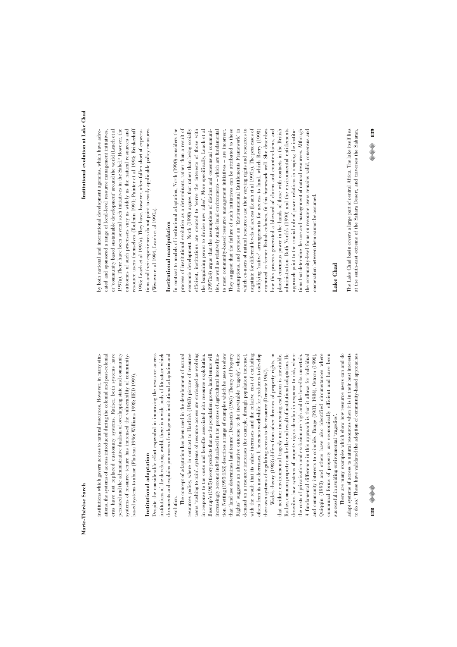ations, the systems of access introduced during the colonial and post-colonial eras have not replaced customary systems. Rather, both systems have institutions which govern access to natural resources. However, in many situinstitutions which govern access to natural resources. However, in many situations, the systems of access introduced during the colonial and post-colonial eras have not replaced customary systems. Rather, both systems have oersisted and the administrative dualism of overlapping state and community persisted and the administrative dualism of overlapping state and community systems of resource tenure has increased the vulnerability of communitysystems of resource tenure has increased the vulnerability of communityased systems to abuse (Platteau 1996; Williams 1998; IIED 1999). based systems to abuse (Platteau 1996; Williams 1998; IIED 1999).

# Institutional adaptation **Institutional adaptation**

Despite the considerable effort expended in improving the resource access Despite the considerable effort expended in improving the resource access institutions of the developing world, there is a wide body of literature which institutions of the developing world, there is a wide body of literature which documents and explains processes of endogenous institutional adaptation and documents and explains processes of endogenous institutional adaptation and evolution.

Boserup's (1965) theory predicts that as the population grows, land tenure will hat 'land use determines land tenure'. Demsetz's (1967) "Theory of Property Rights' suggests an alternative outcome to the inevitable 'tragedy', where with the result that its value increases and the relative cost of excluding The concept of adaptation has been used in the development of natural The concept of adaptation has been used in the development of natural resources policy, where in contrast to Hardin's (1968) picture of resource resources policy, where in contrast to Hardin's (1968) picture of resource users 'rushing to ruin', systems of resource access are envisaged as evolving users 'rushing to ruin', systems of resource access are envisaged as evolving in response to the costs and benefits associated with resource exploitation. Boserup's (1965) theory predicts that as the population grows, land tenure will increasingly become individualised in the process of agricultural intensificaincreasingly become individualised in the process of agricultural intensification. Netting (1993:158) describes a range of examples which he uses to show tion. Netting (1993:158) describes a range of examples which he uses to show that 'land use determines land tenure'. Demsetz's (1967) 'Theory of Property Rights' suggests an alternative outcome to the inevitable 'tragedy', where demand on a resource increases (for example, through population increase), with the result that its value increases and the relative cost of excluding others from its use decreases. It becomes worthwhile for producers to develop others from its use decreases. It becomes worthwhile for producers to develop in response to the costs and benefits associated with resource exploitation. demand on a resource increases (for example, through population increase), their own systems of regulating access to the resource (Demsetz 1967). their own systems of regulating access to the resource (Demsetz 1967).

Wade's theory (1988) differs from other theories of property rights, in Rather, common property can be the end result of institutional adaptation. He the costs of privatisation and exclusion are high and the benefits uncertain. A fundamental difference in this approach is that it allows for individual Quiqqin (1993) and others have also identified circumstances where Wade's theory (1988) differs from other theories of property rights, in that neither environmental tragedy nor increasing exclusion is inevitable. Rather, common property can be the end result of institutional adaptation. He describes how systems of property rights develop in response to risk, where describes how systems of property rights develop in response to risk, where the costs of privatisation and exclusion are high and the benefits uncertain. A fundamental difference in this approach is that it allows for individual and community interests to coincide. Runge (1981; 1984), Ostrom (1990), and community interests to coincide. Runge (1981; 1984), Ostrom (1990), Quiqqin (1993) and others have also identified circumstances where communal forms of property are economically efficient and have been communal forms of property are economically efficient and have been that neither environmental tragedy nor increasing exclusion is inevitable. successful in avoiding environmental 'tragedies'. successful in avoiding environmental 'tragedies'.

There are many examples which show how resource users can and do There are many examples which show how resource users can and do adapt systems of access to natural resources when it is in their best interests adapt systems of access to natural resources when it is in their best interests to do so.<sup>2</sup> These have validated the adoption of community-based approaches to do so.2 These have validated the adoption of community-based approaches

both national and international development agencies, which have advocated and sponsored a range of local-level resource management initiatives, or 'community based sustainable development' around the world (Leach et al or 'community based sustainable development' around the world (Leach et al (997a). There have been several such initiatives in the Sahel.<sup>3</sup> However, the 1997a). There have been several such initiatives in the Sahel.<sup>3</sup> However, the outcomes of such processes vary as widely as the natural resources and outcomes of such processes vary as widely as the natural resources and resource users themselves (Toulmin 1991; Painter et al 1994; Brinkerhoff resource users themselves (Toulmin 1991; Painter et al 1994; Brinkerhoff [995; Leach et al 1997a). They have, however, often fallen short of expectaions and their experiences do not point to easily applicable policy measures by both national and international development agencies, which have advocated and sponsored a range of local-level resource management initiatives, 1995; Leach et al 1997a). They have, however, often fallen short of expectations and their experiences do not point to easily applicable policy measures Western et al 1994; Leach et al 1997a). (Western et al 1994; Leach et al 1997a).

# Institutional manipulation **Institutional manipulation**

process of institutional evolution as a determinant, rather than a result of efficient, institutions are created to 'serve the interests of those with codifying 'native' arrangements for access to land, which Berry (1993) codifying 'native' arrangements for access to land, which Berry (1993) In contrast to models of institutional adaptation, North (1990) considers the In contrast to models of institutional adaptation, North (1990) considers the process of institutional evolution as a determinant, rather than a result of economic development. North (1990) argues that rather than being socially economic development. North (1990) argues that rather than being socially efficient, institutions are created to 'serve the interests of those with the bargaining power to devise new rules'. More specifically, Leach et al the bargaining power to devise new rules'. More specifically, Leach et al (1997b:4) argue that the assumptions of distinct and consensual communides, as well as relatively stable local environments - which are fundamental ties, as well as relatively stable local environments – which are fundamental to most community-based resource management initiatives - are incorrect. They suggest that the failure of such initiatives can be attributed to these They suggest that the failure of such initiatives can be attributed to these assumptions, and propose an 'Environmental Entitlements Framework' in assumptions, and propose an 'Environmental Entitlements Framework' in which co-users of natural resources use their varying rights and resources to which co-users of natural resources use their varying rights and resources to negotiate for different levels of access (Leach et al 1997b). The processes of negotiate for different levels of access (Leach et al 1997b). The processes of examined in former British colonies, fit this framework well. She describes now this process generated a blizzard of claims and counterclaims, and how this process generated a blizzard of claims and counterclaims, and placed enormous power in the hands of those with contacts in the British placed enormous power in the hands of those with contacts in the British administration. Both North's (1990) and the environmental entitlements approach point to the crucial role of power relations in shaping the instituions that determine the use and management of natural resources. Although tions that determine the use and management of natural resources. Although the community-level focus on resource users remains valid, consensus and the community-level focus on resource users remains valid, consensus and (1997b:4) argue that the assumptions of distinct and consensual communito most community-based resource management initiatives – are incorrect. examined in former British colonies, fit this framework well. She describes administration. Both North's (1990) and the environmental entitlements approach point to the crucial role of power relations in shaping the institucooperation between them cannot be assumed. cooperation between them cannot be assumed.

# **Lake Chad**

The Lake Chad basin covers a large part of central Africa. The lake itself lies at the south-east extreme of the Sahara Desert, and traverses the Saharan, The Lake Chad basin covers a large part of central Africa. The lake itself lies at the south-east extreme of the Sahara Desert, and traverses the Saharan,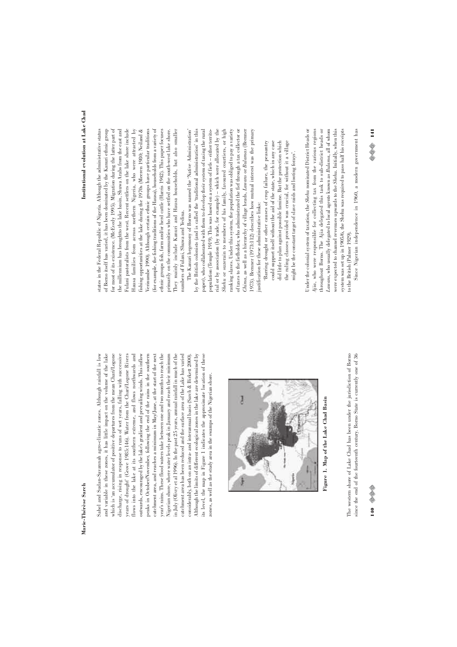Sahel and Sudan-Savannah agro-climatic zones. Although rainfall is low and variable in these zones, it has little impact on the volume of the lake which is 'an accumulator of positive departures from the mean Chari/Logone discharge, rising in response to runs of wet years, falling with successive catchment area, and reaches a minimum in May/June, at the start of the next Sahel and Sudan-Savannah agro-climatic zones. Although rainfall is low and variable in these zones, it has little impact on the volume of the lake which is 'an accumulator of positive departures from the mean Chari/Logone discharge, rising in response to runs of wet years, falling with successive years of drought' (Grove 1985:146). Water from the Chari/Logone Rivers years of drought' (Grove 1985:146). Water from the Chari/Logone Rivers flows into the lake at its southern extreme, and flows northwards and flows into the lake at its southern extreme, and flows northwards and outwards, encouraged by the lake's gradient and prevailing winds. This inflow outwards, encouraged by the lake's gradient and prevailing winds. This inflow peaks in October/November, following the end of the rains in the southern peaks in October/November, following the end of the rains in the southern catchment area, and reaches a minimum in May/June, at the start of the next year's rains. These flood waters take between one and two months to reach the year's rains. These flood waters take between one and two months to reach the Nigerian shore, where water levels peak in January and reach their minimum Nigerian shore, where water levels peak in January and reach their minimum in July (Olivry et al 1996). In the past  $25$  years, annual rainfall in much of the in July (Olivry et al 1996). In the past 25 years, annual rainfall in much of the catchment area has been reduced and the surface area of the Lake has varied catchment area has been reduced and the surface area of the Lake has varied considerably, both on an intra- and interamual basis (Sarch & Birkett 2000). Although the limits of different ecological zones in the lake are determined by Although the limits of different ecological zones in the lake are determined by its level, the map in Figure 1 indicates the approximate location of these its level, the map in Figure 1 indicates the approximate location of these considerably, both on an intra- and interannual basis (Sarch & Birkett 2000). zones, as well as the study area in the swamps of the Nigerian shore. zones, as well as the study area in the swamps of the Nigerian shore.



Tigure 1. Map of the Lake Chad Basin **Figure 1. Map of the Lake Chad Basin**

The western shore of Lake Chad has been under the jurisdiction of Borno since the end of the fourteenth century. Borno State is currently one of 36 The western shore of Lake Chad has been under the jurisdiction of Borno since the end of the fourteenth century. Borno State is currently one of 36

for most of its existence. (McEvedy 1995). Migration during the latter part of Hausa families from across northern Nigeria, who were attracted by (for example, the fishing traditions of the Hausa), households from a variety of primarily on the communities who have settled on the south-west lake shore. states in the Federal Republic of Nigeria. Although the administrative status of Borno itself has varied, it has been dominated by the Kanuri ethnic group of Borno itself has varied, it has been dominated by the Kanuri ethnic group for most of its existence. (McEvedy 1995). Migration during the latter part of the millennium has broughtto the lake basin, Shuwa Arabs from the east and the millennium has broughtto the lake basin, Shuwa Arabs from the east and Fulani pastoralists from the west. Recent settlers on the lake shore include Fulani pastoralists from the west. Recent settlers on the lake shore include Hausa families from across northern Nigeria, who were attracted by fishing opportunities at the lake during the 1970s (Meeren 1980; Neiland & fishing opportunities at the lake during the 1970s (Meeren 1980; Neiland & Verinumbe 1990). Although certain ethnic groups have particular traditions (for example, the fishing traditions of the Hausa), households from a variety of ethnic groups fish, farm and/or herd cattle (Harris 1942). This paper focuses They mainly include Kanuri and Hausa households, but also smaller They mainly include Kanuri and Hausa households, but also smaller states in the Federal Republic of Nigeria. Although the administrative status Verinumbe 1990). Although certain ethnic groups have particular traditions ethnic groups fish, farm and/or herd cattle (Harris 1942). This paper focuses primarily on the communities who have settled on the south-west lake shore. numbers of Fulani, Shuwa and Yedina. numbers of Fulani, Shuwa and Yedina.

paper), who collaborated with them to develop their system of taxing the rural population (Temple 1919). This was based on a system of fiefs – either territorial or by association (by trade, for example) – which were allocated by the of taxes to the fiefholder, who administrated the fief through a tax collector or The Kanuri hegemony of Borno was named the 'Native Administration' by the British colonists (and is called the 'traditional administration' in this paper), who collaborated with them to develop their system of taxing the rural rial or by association (by trade, for example) – which were allocated by the Shehu or suzerain to members of his family, favoured courtiers, or high *Shehu* or suzerain to members of his family, favoured courtiers, or high ranking slaves. Under this system, the population was obliged to pay a variety ranking slaves. Under this system, the population was obliged to pay a variety of taxes to the fiefholder, who administrated the fief through a tax collector or Chima, as well as a hierarchy of village heads, Lawans or Bulamas (Brenner *Chima*, as well as a hierarchy of village heads, *Lawans* or *Bulamas* (Brenner 1973). Brenner (1973:112) describes how mutual interest was the primary 1973). Brenner (1973:112) describes how mutual interest was the primary The Kanuri hegemony of Borno was named the 'Native Administration' by the British colonists (and is called the 'traditional administration' in this population (Temple 1919). This was based on a system of fiefs – either territojustification for these administrative links: justification for these administrative links:

could support itself without the aid of the state, which in any case did little to plan against possible famine. But the protection which the ruling classes provided was crucial, for without it a village Barring drought or other causes of crop failure, the peasantry 'Barring drought or other causes of crop failure, the peasantry could support itself without the aid of the state, which in any case did little to plan against possible famine. But the protection which the ruling classes provided was crucial, for without it a village might be the constant target of slave raids and looting forays'. might be the constant target of slave raids and looting forays'.

throughout Borno. The Ajia delegated this task to sub-district heads or Lawans, who usually delegated to local agents known as Bulama, all of whom Under the colonial system of taxation, the Shehu nominated District Heads or Under the colonial system of taxation, the *Shehu* nominated District Heads or 4jia, who were responsible for collecting tax from the various regions throughout Borno. The Ajia delegated this task to sub-district heads or *Lawans*, who usually delegated to local agents known as *Bulama*, all of whom were expected to channel revenues upwards to the Shehu. Initially, when this system was set up in 1905/6, the Shehu was required to pass half his receipts *Ajia*, who were responsible for collecting tax from the various regions were expected to channel revenues upwards to the *Shehu*. Initially, when this system was set up in 1905/6, the Shehu was required to pass half his receipts o the British (Palmer 1929). to the British (Palmer 1929).

Since Nigerian independence in 1960, a modern government has Since Nigerian independence in 1960, a modern government has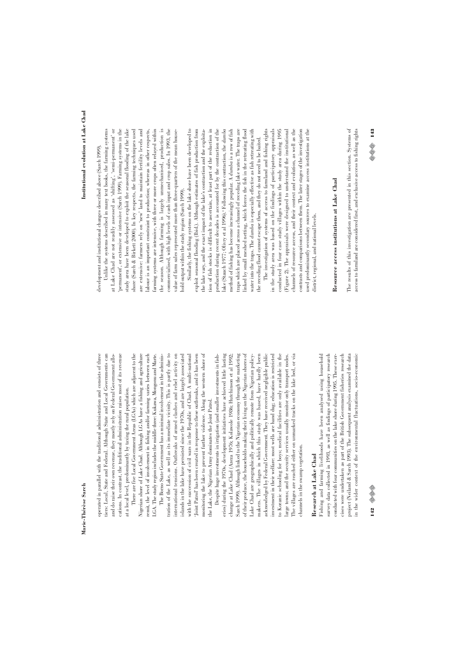operated in parallel with the traditional administration and consists of three operated in parallel with the traditional administration and consists of three tiers: Local, State and Federal. Although State and Local Governments can tiers: Local, State and Federal. Although State and Local Governments can and do raise their own revenue, they mostly rely on Federal Government alloand do raise their own revenue, they mostly rely on Federal Government allocations. In contrast, the traditional administration raises most of its revenue cations. In contrast, the traditional administration raises most of its revenue at a local level, predominantly by taxing the rural population. at a local level, predominantly by taxing the rural population.

There are five Local Government Areas (LGAs) which are adjacent to the LGA. The study region includes the middle three: Kukawa, Mongonu and Marte. There are five Local Government Areas (LGAs) which are adjacent to the Nigerian shore of Lake Chad. Although LGAs have a fishing and agriculture Nigerian shore of Lake Chad. Although LGAs have a fishing and agriculture remit, the level of involvement in fishing and/or farming varies between each remit, the level of involvement in fishing and/or farming varies between each LGA. The study region includes the middle three: Kukawa, Mongonu and Marte.

ration of the Lake, as well as its immediate vicinity. This is partly due to international tensions. Outbreaks of armed clashes and rebel activity on The Borno State Government has a minimal involvement in the adminis-The Borno State Government has a minimal involvement in the administration of the Lake, as well as its immediate vicinity. This is partly due to international tensions. Outbreaks of armed clashes and rebel activity on islands in the lake have persisted since the 1970s, and are largely associated islands in the lake have persisted since the 1970s, and are largely associated with the succession of civil wars in the Republic of Chad. A multi-national with the succession of civil wars in the Republic of Chad. A multi-national Joint Patrol' has been created in response to these outbreaks, and it has been 'Joint Patrol' has been created in response to these outbreaks, and it has been monitoring the lake to prevent further violence. Along the western shore of monitoring the lake to prevent further violence. Along the western shore of he Lake, the Nigerian Army dominates the Joint Patrol. the Lake, the Nigerian Army dominates the Joint Patrol.

Lake Chad are geographically and politically remote from Nigerian policy-Despite huge investments in irrigation (and smaller investments in fish-Despite huge investments in irrigation (and smaller investments in fisheries) during the 1970s, development initiatives have achieved little lasting eries) during the 1970s, development initiatives have achieved little lasting change at Lake Chad (Azeza 1976; Kolawole 1986; Hutchinson et al 1992; Sarch 1999). Although linked to the Nigerian economy through the marketing Sarch 1999). Although linked to the Nigerian economy through the marketing of their produce, the households making their living on the Nigerian shores of of their produce, the households making their living on the Nigerian shores of Lake Chad are geographically and politically remote from Nigerian policymakers. The villages in which this study was based, have hardly been makers. The villages in which this study was based, have hardly been acknowledged by Federal Government. They have received negligible public acknowledged by Federal Government. They have received negligible public investment in their welfare: most wells are hand dug; education is restricted investment in their welfare: most wells are hand dug; education is restricted to Koranic schooling for boys; medical facilities are only available in the to Koranic schooling for boys; medical facilities are only available in the arge towns; and the security services usually monitor only transport nodes. The villages are reached either on unmarked tracks on the lake bed, or via The villages are reached either on unmarked tracks on the lake bed, or via change at Lake Chad (Azeza 1976; Kolawole 1986; Hutchinson et al 1992; large towns; and the security services usually monitor only transport nodes. hannels in the swamp vegetation. channels in the swamp vegetation.

# Research at Lake Chad **Research at Lake Chad**

Fishing and farming livelihoods have been analysed using household survey data collected in 1993, as well as findings of participatory research in the wider context of the environmental fluctuations, socio-economic Fishing and farming livelihoods have been analysed using household survey data collected in 1993, as well as findings of participatory research conducted with four communities on the lake shore during 1995. These exerconducted with four communities on the lake shore during 1995. These exercises were undertaken as part of the British Government fisheries research cises were undertaken as part of the British Government fisheries research oroject (Neiland & Sarch 1993). The subsequent analysis examined the data project (Neiland & Sarch 1993). The subsequent analysis examined the data n the wider context of the environmental fluctuations, socio-economic

development and institutional changes described above (Sarch 1999). development and institutional changes described above (Sarch 1999).

at Lake Chad are not readily assessed as 'shifting', 'semi-permanent' or farming systems are intensive, with three or more crops often relayed within the season. Although farming is largely unmechanised, production is commercialised, with high levels of cash input and crop sales. In 1993, the Unlike the systems described in many text books, the farming systems at Lake Chad are not readily assessed as 'shifting', 'semi-permanent' or permanent', or extensive or intensive (Sarch 1999). Farming systems in the 'permanent', or extensive or intensive (Sarch 1999). Farming systems in the study area have been developed to exploit the seasonal flooding of the lake study area have been developed to exploit the seasonal flooding of the lake shore (Sarch & Birkett 2000). In key respects, the farming techniques used shore (Sarch & Birkett 2000). In key respects, the farming techniques used are extensive: farmers rely on 'new' land to maintain fertility levels and are extensive: farmers rely on 'new' land to maintain fertility levels and abour is an important constraint to production; whereas in other respects, farming systems are intensive, with three or more crops often relayed within commercialised, with high levels of cash input and crop sales. In 1993, the value of farm sales represented more than three-quarters of the mean house-Unlike the systems described in many text books, the farming systems labour is an important constraint to production; whereas in other respects, the season. Although farming is largely unmechanised, production is value of farm sales represented more than three-quarters of the mean housenold output within the study region (Sarch 1999). hold output within the study region (Sarch 1999).

Similarly, the fishing systems on the lake shore have been developed to the lake vary, and the exact impact of the lake's contraction and the exploitation of fish stocks is difficult to ascertain, at least part of the reduction in production during recent decades is accounted for by the contraction of the Similarly, the fishing systems on the lake shore have been developed to exploit seasonal flooding (Ibid.). Although estimates of fish production from exploit seasonal flooding (Ibid.). Although estimates of fish production from tion of fish stocks is difficult to ascertain, at least part of the reduction in production during recent decades is accounted for by the contraction of the ake (Stauch 1977; Olivry et al 1996).<sup>4</sup> Following this contraction, the dumba lake (Stauch 1977; Olivry et al 1996).4 Following this contraction, the *dumba* method of fishing has become increasingly popular. A *dumba* is a row of fish method of fishing has become increasingly popular. A *dumba* is a row of fish traps which are placed across a channel of receding lake water. The traps are traps which are placed across a channel of receding lake water. The traps are linked by small meshed netting, which forces the fish in the retreating flood linked by small meshed netting, which forces the fish in the retreating flood water into the traps. The *dumba* is especially effective as fish retreating with water into the traps. The *dumba* is especially effective as fish retreating with the lake vary, and the exact impact of the lake's contraction and the exploitathe receding flood cannot escape them, and they do not need to be baited. the receding flood cannot escape them, and they do not need to be baited.

The investigation of systems of access to farmland and fishing rights The investigation of systems of access to farmland and fishing rights in the study area was based on the findings of participatory appraisals conducted in four case study villages within the study area during 1995 Figure 2). The appraisals were designed to understand the institutional (Figure 2). The appraisals were designed to understand the institutional channels of resource access, and their context and evolution, as well as the channels of resource access, and their context and evolution, as well as the contrasts and comparisons between them. The later stages of the investigation contrasts and comparisons between them. The later stages of the investigation used predominantly secondary sources to examine access institutions at the used predominantly secondary sources to examine access institutions at the in the study area was based on the findings of participatory appraisals conducted in four case study villages within the study area during 1995 listrict, regional, and national levels. district, regional, and national levels.

# Resource access institutions at Lake Chad **Resource access institutions at Lake Chad**

The results of this investigation are presented in this section. Systems of The results of this investigation are presented in this section. Systems of access to farmland are considered first, and exclusive access to fishing rights access to farmland are considered first, and exclusive access to fishing rights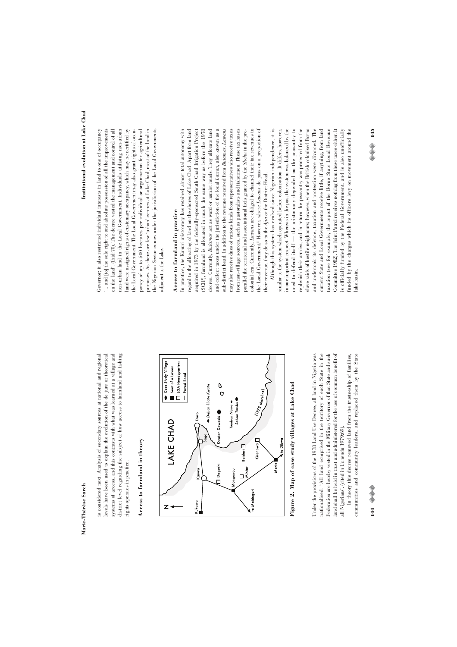is considered next. Analysis of secondary sources at national and regional is considered next. Analysis of secondary sources at national and regional levels have been used to explain the evolution of the de jure or theoretical levels have been used to explain the evolution of the de jure or theoretical systems of access, and this contrasts with what was learned at a village and systems of access, and this contrasts with what was learned at a village and district level regarding the subject of how access to farmland and fishing district level regarding the subject of how access to farmland and fishing rights operates in practice. rights operates in practice.

# Access to farmland in theory **Access to farmland in theory**



Figure 2. Map of case study villages at Lake Chad **Figure 2. Map of case study villages at Lake Chad**

Under the provisions of the 1978 Land Use Decree, all land in Nigeria was Under the provisions of the 1978 Land Use Decree, all land in Nigeria was nationalised: 'All land comprised in the territory of each State in the nationalised: 'All land comprised in the territory of each State in the Federation are hereby vested in the Military Governor of that State and such Federation are hereby vested in the Military Governor of that State and such and shall be held in trust and administered for the use of common benefit of land shall be held in trust and administered for the use of common benefit of all Nigerians'. (cited in Uchendu 1979:69). all Nigerians'. (cited in Uchendu 1979:69).

In theory this decree removed land from the trusteeship of families, communities and community leaders, and replaced them by the State communities and community leaders, and replaced them by the State In theory this decree removed land from the trusteeship of families,

# 144 ©©

# Institutional evolution at Lake Chad **Institutional evolution at Lake Chad**

Governor; it also restricted individual interests in land to one of occupancy and were assigned rights of customary occupancy, which may be certified by purposes. As there are few 'urban' centres at Lake Chad, most of the land in Governor; it also restricted individual interests in land to one of occupancy "... and [to] the sole right to and absolute possession of all the improvements on the land'. (Ibid:70). The decree vested the management and control of all on the land'. (Ibid:70). The decree vested the management and control of all non-urban land in the Local Government. Individuals utilising non-urban non-urban land in the Local Government. Individuals utilising non-urban land were assigned rights of customary occupancy, which may be certified by the Local Government. The Local Government may also grant rights of occupancy of up to 500 hectares per individual or organisation for agricultural pancy of up to 500 hectares per individual or organisation for agricultural purposes. As there are few 'urban' centres at Lake Chad, most of the land in the Nigerian Sector comes under the jurisdiction of the Local Governments '... and [to] the sole right to and absolute possession of all the improvements the Local Government. The Local Government may also grant rights of occuthe Nigerian Sector comes under the jurisdiction of the Local Governments adjacent to the Lake. adjacent to the Lake.

# Access to farmland in practice **Access to farmland in practice**

and collect taxes under the jurisdiction of the local Lawan, also known as a sub-district head. In addition to the revenue received from Bulamas, Lawans colonial era. Currently, Lawans are obliged to channel their tax revenues to the Local Government.<sup>5</sup> However, where Lawans do pass on a proportion of In practice, the Kanuri aristocracy has retained almost total autonomy with In practice, the Kanuri aristocracy has retained almost total autonomy with regard to the allocating of land on the shores of Lake Chad. Apart from land regard to the allocating of land on the shores of Lake Chad. Apart from land acquired in 1973 by the federally-sponsored South Chad Irrigation Project acquired in 1973 by the federally-sponsored South Chad Irrigation Project (SCIP), farmland is allocated in much the same way as before the 1978 (SCIP), farmland is allocated in much the same way as before the 1978 decree. Currently, Bulamas act as ward or hamlet heads. They allocate land decree. Currently, *Bulamas* act as ward or hamlet heads. They allocate land and collect taxes under the jurisdiction of the local *Lawan*, also known as a may also receive dues of various kinds from representatives who receive taxes from non-village sources, such as pastoralists and fishermen. These tax bases parallel the territorial and associational fiefs granted by the Shehu in the precolonial era. Currently, *Lawans* are obliged to channel their tax revenues to the Local Government.5 However, where *Lawans* do pass on a proportion of sub-district head. In addition to the revenue received from *Bulamas*, *Lawans* may also receive dues of various kinds from representatives who receive taxes from non-village sources, such as pastoralists and fishermen. These tax bases parallel the territorial and associational fiefs granted by the *Shehu* in the pretheir revenue, they do so to the Ajia or the District Head. their revenue, they do so to the *Ajia* or the District Head.

Committee 1982). The Joint Patrol receives nothing from these taxes either. It Although this system has evolved since Nigerian independence, it is in one important respect. Whereas in the past the system was balanced by the need to defend itself — the aristocracy depended on the peasantry to replenish their armies, and in return the peasantry was protected from the slave raids of hostile neighbours; however, when the British colonised Borno and undertook its defence, taxation and protection were divorced. The current State and Local Governments receive little, if anything, from land taxation (see for example, the report of the Borno State Local Revenue funded by the charges which its officers levy on movement around the similar to the system which operated before colonisation. It differs, however, in one important respect. Whereas in the past the system was balanced by the need to defend itself — the aristocracy depended on the peasantry to replenish their armies, and in return the peasantry was protected from the slave raids of hostile neighbours; however, when the British colonised Borno and undertook its defence, taxation and protection were divorced. The current State and Local Governments receive little, if anything, from land taxation (see for example, the report of the Borno State Local Revenue Committee 1982). The Joint Patrol receives nothing from these taxes either. It is officially funded by the Federal Government, and is also unofficially is officially funded by the Federal Government, and is also unofficially unded by the charges which its officers levy on movement around the Although this system has evolved since Nigerian independence, it is similar to the system which operated before colonisation. It differs, however, lake basin.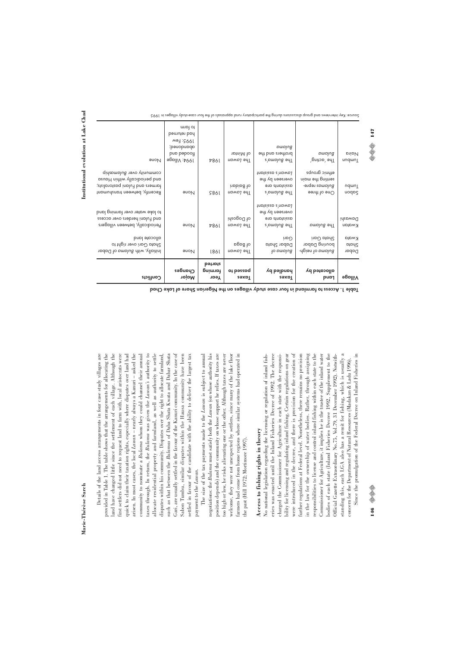**Institutional evolution at Lake Chad**

Institutional evolution at Lake Chad

Details of the land access arrangements in four case study villages are provided in Table 1. The table shows that the arrangements for allocating the and have changed little since the settlement of each village. Although the first settlers did not need to request land to farm with, local aristocrats were axes through. In return, the Bulama was given the Lawan's authority to taxes through. In return, the *Bulama* was given the *Lawan's* authority to allocate residential property and farmland, as well as authority to settle such as that between the Bulamas of Daba Shata Kwata and Dabar Shata Gari, are usually settled in the favour of the Kanuri community. In the case of Sabon Tumbu, similar disputes within the Hausa community have been settled in favour of the candidate with the ability to deliver the largest tax Details of the land access arrangements in four case study villages are provided in Table 1. The table shows that the arrangements for allocating the land have changed little since the settlement of each village. Although the first settlers did not need to request land to farm with, local aristocrats were quick to claim their taxation rights, especially where disputes over land had quick to claim their taxation rights, especially where disputes over land had arisen. In most cases, the local Lawan - nearly always a Kanuri - asked the arisen. In most cases, the local *Lawan* – nearly always a Kanuri – asked the community to nominate a *Bulama* whom they could channel their annual community to nominate a *Bulama* whom they could channel their annual allocate residential property and farmland, as well as authority to settle disputes within his community. Disputes over the right to allocate farmland, such as that between the *Bulamas* of Daba Shata Kwata and Dabar Shata Gari, are usually settled in the favour of the Kanuri community. In the case of Sabon Tumbu, similar disputes within the Hausa community have been settled in favour of the candidate with the ability to deliver the largest tax disputes within his community. Disputes over the right to allocate farmland, payment to the Lawan. payment to the *Lawan*.

welcome, they were not unexpected by settlers, since many of the lake floor The size of the tax payments made to the Lawan is subject to annual position depends) and the community on whose support he relies. If taxes are farmers had come from home regions where similar systems had operated in The size of the tax payments made to the *Lawan* is subject to annual negotiations: the Bulama must satisfy both the Lawan (on whose authority his negotiations: the *Bulama* must satisfy both the *Lawan* (on whose authority his position depends) and the community on whose support he relies. If taxes are too high or low, he risks alienating one or the other. Although taxes are never too high or low, he risks alienating one or the other. Although taxes are never welcome, they were not unexpected by settlers, since many of the lake floor farmers had come from home regions where similar systems had operated in he past (Hill 1972; Mortimore 1997). the past (Hill 1972; Mortimore 1997).

# Access to fishing rights in theory **Access to fishing rights in theory**

eries was enacted until the Inland Fisheries Decree of 1992. The decree charged the Commissioner for Agriculture in each state with the responsioility for licensing and regulating inland fishing. Certain regulations on gear were introduced in the decree, and there is provision for the creation of further regulations at Federal level. Nonetheless, there remains no provision in the law for the ownership of water bodies. Rather, through assigning responsibilities to license and control inland fishing within each state to the oodies of each state (Inland Fisheries Decree 1992, Supplement to the Official Gazette Extraordinary No.75, Vol.79, 31 December 1992). Notwithstanding this, each LGA also has a remit for fishing, which is usually a Since the promulgation of the Federal Decree on Inland Fisheries in No national legislation regarding the licensing or regulation of inland fish-No national legislation regarding the licensing or regulation of inland fisheries was enacted until the Inland Fisheries Decree of 1992. The decree charged the Commissioner for Agriculture in each state with the responsibility for licensing and regulating inland fishing. Certain regulations on gear were introduced in the decree, and there is provision for the creation of further regulations at Federal level. Nonetheless, there remains no provision in the law for the ownership of water bodies. Rather, through assigning responsibilities to license and control inland fishing within each state to the Commissioner for Agriculture, it implies he is the trustee of the inland water Commissioner for Agriculture, it implies he is the trustee of the inland water bodies of each state (Inland Fisheries Decree 1992, Supplement to the Official Gazette Extraordinary No.75, Vol.79, 31 December 1992). Notwithstanding this, each LGA also has a remit for fishing, which is usually a Since the promulgation of the Federal Decree on Inland Fisheries in concern for the Department of Natural Resources (Madakan & Ladu 1996). concern for the Department of Natural Resources (Madakan & Ladu 1996).

| Conflicts                                                                                                                              | Changes<br>Major                                                                  | betipte<br>farming<br>Year | ot besepp<br><b>Taxes</b> | handled by<br><b>zexpl</b>                                            | allocated by<br>pupy                                                    | <b>Village</b>          |
|----------------------------------------------------------------------------------------------------------------------------------------|-----------------------------------------------------------------------------------|----------------------------|---------------------------|-----------------------------------------------------------------------|-------------------------------------------------------------------------|-------------------------|
| allocate land<br>Shata Gari over right to<br>Initially, with Bulama of Dabar                                                           | None                                                                              | <b>1861</b>                | of Baga<br>The Lawan      | Gari<br>Dabar Shata<br>to pmplug                                      | Shata Gari<br>bouring Dabar<br>angien to pmplue.                        | Kwata<br>Shata<br>Dabar |
| to lake water over farming land<br>and Fulani herders over access<br>Periodically, between villagers                                   | <b>Prope</b>                                                                      | <b>7861</b>                | of Dogoshi<br>The Lawan   | Inpiales e mowp1<br>overseen by the<br>eno etnoteieeo<br>The Bulama's | The <i>Bulama</i>                                                       | Dawashi<br>Kwatan       |
| community over <i>Bulamaship</i><br>and periodically within Hausa<br>tarmers and Fulani pastoralists;<br>Recently, between transhumant | <b>Prope</b>                                                                      | <b>9861</b>                | inbind to<br>The Lawan    | Inpiales e mowp1<br>overseen by the<br>eno atnotaiaao<br>The Bulama's | ethnic groups<br>seujing and the main<br>Bulamas repre-<br>One of three | Umbu<br>nodp2           |
| <b>Proper</b>                                                                                                                          | to farm<br>bemuter bon<br>1995: Few<br>pauopupqp!<br>pup papoolt<br>1994∶ Village | <b>7861</b>                | of Mintar<br>The Lawan    | puppng<br>brothers and the<br>The Bulama's                            | puppng<br>The 'acting'                                                  | piipN<br>Tumdrun        |

villages: Key inferviews and group discussions during the participatory rural appraisals of the four case-study villages in 1995

147

(i) (i) (i)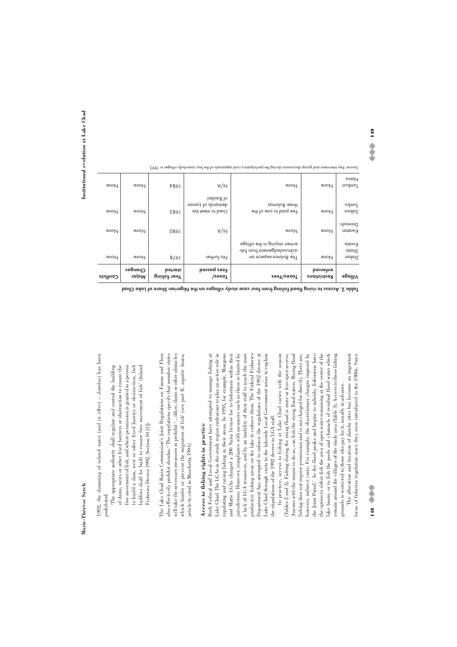1992, the damming of inland water (and in effect - dumbas) has been 1992, the damming of inland water (and in effect – *dumbas*) has been

prohibited:<br>The appropriate authority shall regulate and control the building free movement of fish, and where permission is granted to a person to build a dam, weir or other fixed barrier or obstruction, fish ladders shall be built to ensure free movement of fish' (Inland 'The appropriate authority shall regulate and control the building of dams, weirs or other fixed barriers or obstruction to ensure the of dams, weirs or other fixed barriers or obstruction to ensure the free movement of fish, and where permission is granted to a person to build a dam, weir or other fixed barrier or obstruction, fish ladders shall be built to ensure free movement of fish' (Inland Fisheries Decree 1992, Section 10<sup>[1]</sup>). Fisheries Decree 1992, Section 10 [1]). The Lake Chad Basin Commission's Joint Regulations on Fauna and Flora will take the necessary measures to prohibit '... dikes, dams or other obstacles which hinder or prevent the migration of fish' (see part B, aquatic fauna, The Lake Chad Basin Commission's Joint Regulations on Fauna and Flora also effectively prohibit dumbas.6 The regulations specify that member states The regulations specify that member states will take the necessary measures to prohibit '... dikes, dams or other obstacles which hinder or prevent the migration of fish' (see part B, aquatic fauna, article 6; cited in Moschetta 1991). article 6; cited in Moschetta 1991). also effectively prohibit *dumbas*.

# Access to fishing rights in practice **Access to fishing rights in practice**

Both Federal and Local Government have attempted to manage fishing at Lake Chad. The LGAs in the study region endeavour to play an active role in regulating and taxing fishing in their areas. In 1995, for example, Mongono and Marte LGAs charged a 200 Naira license fee to fishermen within their productive fishing areas on the lake to enforce them. The Federal Fisheries Department has attempted to enforce the regulations of the 1992 decree at Both Federal and Local Government have attempted to manage fishing at Lake Chad. The LGAs in the study region endeavour to play an active role in regulating and taxing fishing in their areas. In 1995, for example, Mongono and Marte LGAs charged a 200 Naira license fee to fishermen within their jurisdiction. However, compliance with measures such as these is limited by jurisdiction. However, compliance with measures such as these is limited by a lack of LGA resources, and by an inability of their staff to reach the most a lack of LGA resources, and by an inability of their staff to reach the most productive fishing areas on the lake to enforce them. The Federal Fisheries Department has attempted to enforce the regulations of the 1992 decree at Lake Chad through visits to the lakeside Local Government areas to explain Lake Chad through visits to the lakeside Local Government areas to explain he stipulations of the 1992 decree to LGA staff. the stipulations of the 1992 decree to LGA staff.

In practice, access to fishing at Lake Chad varies with the season however, indirect costs. For example, the discretionary charges imposed by remain around the villages of the study area (Table 3). Access to these fishing In practice, access to fishing at Lake Chad varies with the season (Tables 2 and 3). Fishing during the rising flood is more or less open access. Anyone with the means to do so, can fish the rising flood waters. Rising flood Anyone with the means to do so, can fish the rising flood waters. Rising flood fishing does not require permission and is not charged for directly. There are, fishing does not require permission and is not charged for directly. There are, however, indirect costs. For example, the discretionary charges imposed by the Joint Patrol.<sup>7</sup> As the flood peaks and begins to subside, fishermen have As the flood peaks and begins to subside, fishermen have the option to either fish the area of open water remaining at the centre of the the option to either fish the area of open water remaining at the centre of the ake basin, or to fish the pools and channels of residual flood water which lake basin, or to fish the pools and channels of residual flood water which remain around the villages of the study area (Table 3). Access to these fishing (Tables 2 and 3). Fishing during the rising flood is more or less open access. grounds is restricted to those who pay for it, usually in advance. grounds is restricted to those who pay for it, usually in advance. the Joint Patrol.

The allocation and taxation of *dumba* sites has become an important The allocation and taxation of *dumba* sites has become an important ocus of fisheries regulation since they were introduced in the 1980s. Since focus of fisheries regulation since they were introduced in the 1980s. Since

| וממופ די אררביז הן נוחמה וואווווה הו המון והחן רחיב אוחה להחל בוווח? בגווה ואולבווחוו אווחוב הן דחצב רווחח |                  |                         |                                                   |                                                                                            |                                 |                                |
|------------------------------------------------------------------------------------------------------------|------------------|-------------------------|---------------------------------------------------|--------------------------------------------------------------------------------------------|---------------------------------|--------------------------------|
| Conflicts                                                                                                  | Changes<br>Major | betipte<br>Year fishing | <b>Leea</b> possod<br>Taxes/                      | Taxez/Fees                                                                                 | entorced<br><b>Restrictions</b> | Village                        |
| <b>None</b>                                                                                                | <b>auoN</b>      | 8/61                    | No further                                        | ermen staying in the village<br>acknowledgement trom tish-<br>The <i>Bulama</i> expects an | <b>None</b>                     | <b>Kwata</b><br>ptpdl<br>Dabar |
| None                                                                                                       | <b>Proper</b>    | 0861                    | A/N                                               | <b>Proper</b>                                                                              | <b>Prope</b>                    | Dawashi<br>Kwatan              |
| <b>None</b>                                                                                                | <b>Proper</b>    | <b>9861</b>             | inbind to<br>upwp1 to sbnpmab<br>Used to meet tax | three <i>Bulamas</i><br>Fee paid to one of the                                             | <b>None</b>                     | udmuT<br>nodp2                 |
| <b>None</b>                                                                                                | <b>Proper</b>    | <b>7861</b>             | A/N                                               | <b>Proper</b>                                                                              | None                            | <b>Naira</b><br>Tundmu         |

Table 2. Access to rising flood fishing from four case study villages on the Nigerian Shore of Lake Chad

cource: Key interviews and group discussions during the participatory rural appraisals of the four case-study villages in 1995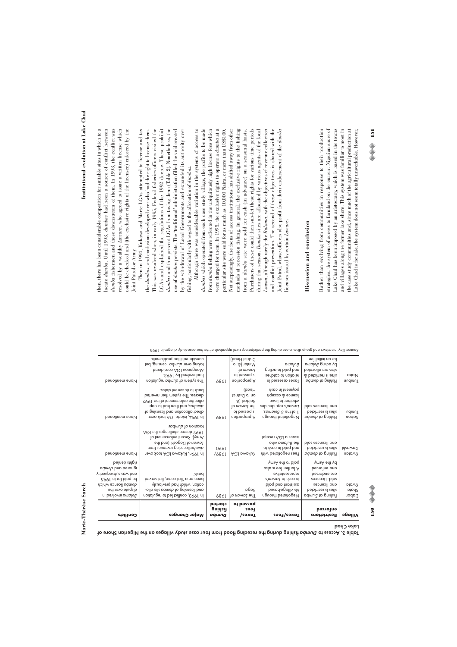#### Table 3. Access to Dumba fishing baring the receding flood from four case study villages on the Nigerian Shore of **PadD** expl

| ł |  |
|---|--|

| Conflicts                                                                            | <b>Major Changes</b>                                                                                                                                                                                     | betipte<br>Buidait<br>pqwng | ot besspq<br>Fees<br>Taxes/                                                         | Taxes/Fees                                                                                                                    | eutorced<br><b>Restrictions</b>                                                                               | Village                        |
|--------------------------------------------------------------------------------------|----------------------------------------------------------------------------------------------------------------------------------------------------------------------------------------------------------|-----------------------------|-------------------------------------------------------------------------------------|-------------------------------------------------------------------------------------------------------------------------------|---------------------------------------------------------------------------------------------------------------|--------------------------------|
| he paid for in 1995<br>dumba licence which<br>dispute over the<br>ni bevlovni pmplug | bevies-teit , emoo-teit' b no need<br>cation, which had previously<br>allo etiz bdmub to priznecil bno-<br>In 1993, conflict led to regulation                                                           | 686L                        | pdda<br>The Lawan of                                                                | in cash to Lawan's<br>bing bnn tnnteieen<br>his village-based<br>Negotiated through                                           | sepuebil .blos<br>and licences<br>befointen ai cetia<br>Fishing at Dumba                                      | <b>Kwata</b><br>ptpdC<br>Dabar |
| heineb angin<br>ndmub ban dumba<br>A <sub>l</sub> uenbesqns spw pup                  | sizpd`                                                                                                                                                                                                   |                             |                                                                                     | ymnA ent ot bing<br>oslo si eet tekthut A<br>representative.                                                                  | ymnA ent yd<br>and enforced<br>are endorsed                                                                   |                                |
| None mentioned                                                                       | taxation of dumbas<br>1992 decree challenges the LGA<br>Army). Recent entorcement of<br>Lawan of Dogoshi (and the<br>alomba licensing revenues hom<br>In 1994, Kukawa LGA took over                      | 066L<br>/6861               | Kukawa LGA                                                                          | tqioson AOJ p zouzzi<br>the <i>Bulama who</i><br>at deal in cash to<br>Fees negotiated with                                   | plos sepuebil bnp<br>betointeen ei eetie<br>Fishing at dumba                                                  | DawaSi<br><b>Kwatan</b>        |
| None mentioned                                                                       | back to its current status.<br>decree. Ihe system then reverted<br>atter the entorement of the 1992<br>qote of bor nont bno apdmub<br>direct allocation and licensing of<br>In 1994, Marte LGA took over | 6861                        | Head)<br>on to District<br>8) inbind<br>to nowol of<br>of besepp ai<br>noitioqoiq A | paλweu; ju cazy<br>licence & accepts<br>whether to issue<br>Lawan's rep. decides<br>1 of the 3 Bulamas.<br>Negotiated through | plos espassil bnp<br>betointeen ei eetie<br>Fishing at dumba                                                  | Udmu <sup>T</sup><br>gapou     |
| None mentioned                                                                       | considered it too problematic<br>tud , priznesil bdmub nevo prixbt<br>Mongonou LGA considered<br><b>EQPL Ad bevious</b> bpd.<br>The system of dumba regulation                                           | 6861                        | District Head)<br>ot &) notniM<br>to nowol<br>of beseppe ai<br>noitioqoiq A         | puppng<br>gnito of bing bno<br>relation to catches<br>Taxes assesso in                                                        | tor an initial fee<br>plouping Bullapo yd<br>betopollo eno cetie<br>& betointeen ai eetia<br>Fishing at dumba | <b>Naira</b><br>Tumdrun        |

Institutional evolution at Lake Chad **Institutional evolution at Lake Chad**

then, there has been considerable competition for suitable sites in which to a then, there has been considerable competition for suitable sites in which to a ocate dumba. Until 1993, dumbas had been a source of conflict between locate *dumba*. Until 1993, *dumbas* had been a source of conflict between dumba fishermen and those downstream of them. In 1993, the conflict was resolved by a wealthy Lawans, who agreed to issue a written license which resolved by a wealthy *Lawans*, who agreed to issue a written license which could be checked and (the exclusive rights of the licensee) enforced by the could be checked and (the exclusive rights of the licensee) enforced by the *dumba* fishermen and those downstream of them. In 1993, the conflict was Joint Patrol or Army. Joint Patrol or Army.

LGAs and explained the regulations of the 1992 decree. These prohibit Then in 1994, Kukawa and Marte LGAs attempted to license and tax Then in 1994, Kukawa and Marte LGAs attempted to license and tax the *dumbas*, and confusion developed over who had the right to license them. This was resolved when, in early 1995, Federal fisheries officers visited the This was resolved when, in early 1995, Federal fisheries officers visited the LGAs and explained the regulations of the 1992 decree. These prohibit dumbas and thus prevent LGAs from taxing them (Table 2). Nonetheless, the *dumbas* and thus prevent LGAs from taxing them (Table 2). Nonetheless, the use of dumbas persists. The 'traditional' administration filled the void created use of *dumbas* persists. The 'traditional' administration filled the void created by the withdrawal of Local Governments and expanded its authority over by the withdrawal of Local Governments and expanded its authority over the *dumbas*, and confusion developed over who had the right to license them. ishing, particularly with regard to the allocation of dumbas. fishing, particularly with regard to the allocation of *dumbas*.

Although there was considerable variation in the systems of access to dumbas which operated from each case study village, the profits to be made from dumba fishing were reflected in the ubiquitously high license fees which were charged for them. In 1995, the exclusive rights to operate a dumba at a methods of recession fishing. In general, the exclusive rights to the fishing during that season. Dumba sites are allocated by various agents of the local Although there was considerable variation in the systems of access to *dumbas* which operated from each case study village, the profits to be made from *dumba* fishing were reflected in the ubiquitously high license fees which were charged for them. In 1995, the exclusive rights to operate a *dumba* at a particular site were sold for as much as 10,000 Naira, or more than US\$100. Not surprisingly, the focus of access institutions has shifted away from other Not surprisingly, the focus of access institutions has shifted away from other methods of recession fishing. In general, the exclusive rights to the fishing from a dumba site were sold for cash (in advance) on a seasonal basis. Purchasers of these could then sub-let these rights for various time periods during that season. *Dumba* sites are allocated by various agents of the local Lawan, although rarely the Bulama, with the objectives of revenue collection *Lawan*, although rarely the *Bulama*, with the objectives of revenue collection and conflict prevention. The second of these objectives is shared with the and conflict prevention. The second of these objectives is shared with the oint Patrol, whose officers also profit from their endorsement of the dumba Joint Patrol, whose officers also profit from their endorsement of the *dumba* particular site were sold for as much as 10,000 Naira, or more than US\$100. from a *dumba* site were sold for cash (in advance) on a seasonal basis. Purchasers of these could then sub-let these rights for various time periods licenses issued by certain *Lawans*. icenses issued by certain Lawans.

# Discussion and conclusion **Discussion and conclusion**

strategies, the system of access to farmland on the current Nigerian shore of and villages along the former lake shore. This system was familiar to most in he case study communities and, since much of the agricultural production at Rather than evolving from communities in response to their production Rather than evolving from communities in response to their production strategies, the system of access to farmland on the current Nigerian shore of Lake Chad has been imposed by an aristocracy, which is based in the towns and villages along the former lake shore. This system was familiar to most in the case study communities and, since much of the agricultural production at ake Chad is for sale, the system does not seem totally unworkable. However, Lake Chad has been imposed by an aristocracy, which is based in the towns Lake Chad is for sale, the system does not seem totally unworkable. However,

150

E E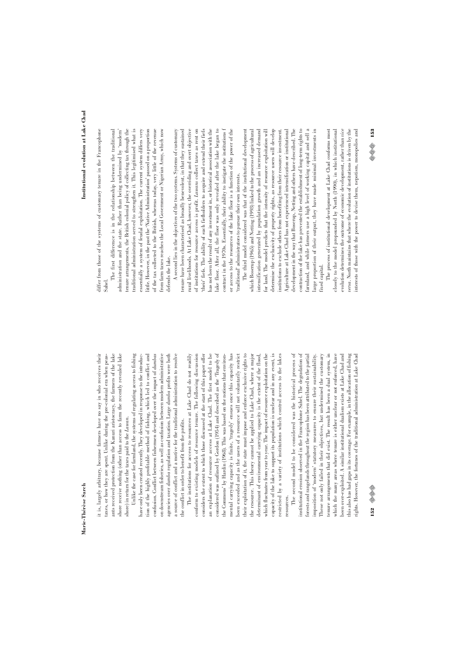it is, largely arbitrary, because farmers have no say in who receives their it is, largely arbitrary, because farmers have no say in who receives their taxes, or how they are spent. Unlike during the pre-colonial era when peastaxes, or how they are spent. Unlike during the pre-colonial era when peasants received protection from the Kanuri aristocracy, the farmers of the lake ants received protection from the Kanuri aristocracy, the farmers of the lake shore receive nothing (other than access to farm the recently revealed lake shore receive nothing (other than access to farm the recently revealed lake shore) in return for the taxes paid to the Lawan. shore) in return for the taxes paid to the *Lawan*.

Unlike the case for farmland, the systems of regulating access to fishing Unlike the case for farmland, the systems of regulating access to fishing nave only been created recently. They developed in response to the introduchave only been created recently. They developed in response to the introduction of the highly profitable method of fishing, which led to conflict and tion of the highly profitable method of fishing, which led to conflict and confusion. Conflict between fishermen developed over the impact of dumbas on downstream fisheries, as well as confusion between modern administrative on downstream fisheries, as well as confusion between modern administrative agencies over dumba regulation and taxation. Large dumba profits were both agencies over *dumba* regulation and taxation. Large *dumba* profits were both a source of conflict and a motive for the traditional administration to resolve a source of conflict and a motive for the traditional administration to resolve confusion. Conflict between fishermen developed over the impact of *dumbas* the conflict in order to benefit from the profits. the conflict in order to benefit from the profits.

considers the extent to which those discussed at the start of this paper offer an explanation of resource access at Lake Chad. The first model to be an explanation of resource access at Lake Chad. The first model to be considered was outlined by Gordon (1954) and described as the 'Tragedy of the Commons' by Hardin (1968). This was based on the notions that environbeen exceeded and as the users of a resource will not voluntarily restrict their exploitation of it, the state must impose and enforce exclusive rights to the resource. This theory cannot be applied to Lake Chad, where a major determinant of environmental carrying capacity is the extent of the flood, which fluctuates from year to year. The impact of resource exploitation on the capacity of the lake to support its population is unclear and in any event, is The institutions for access to resources at Lake Chad do not readily The institutions for access to resources at Lake Chad do not readily conform to existing models of resource tenure. The following discussion conform to existing models of resource tenure. The following discussion considers the extent to which those discussed at the start of this paper offer considered was outlined by Gordon (1954) and described as the 'Tragedy of the Commons' by Hardin (1968). This was based on the notions that environmental carrying capacity is finite, 'tragedy' ensues once this capacity has mental carrying capacity is finite, 'tragedy' ensues once this capacity has oeen exceeded and as the users of a resource will not voluntarily restrict their exploitation of it, the state must impose and enforce exclusive rights to he resource. This theory cannot be applied to Lake Chad, where a major which fluctuates from year to year. The impact of resource exploitation on the capacity of the lake to support its population is unclear and in any event, is restricted by a variety of institutions which control access to the lakes restricted by a variety of institutions which control access to the lakes determinant of environmental carrying capacity is the extent of the flood, esources. resources.

The second model to be considered was the historical process of The second model to be considered was the historical process of nstitutional erosion observed in the Francophone Sahel. The degradation of forests and rangelands throughout the region has been attributed to the partial imposition of 'modern' statutory measures to ensure their sustainability. These not only failed in their objectives, but undermined the customary enure arrangements that did exist. The result has been a dual system, in institutional erosion observed in the Francophone Sahel. The degradation of forests and rangelands throughout the region has been attributed to the partial These not only failed in their objectives, but undermined the customary tenure arrangements that did exist. The result has been a dual system, in which the many areas where tenure is either unclear or not enforced, have which the many areas where tenure is either unclear or not enforced, have been over-exploited. A similar institutional dualism exists at Lake Chad and been over-exploited. A similar institutional dualism exists at Lake Chad and his also has had gaps in its coverage. For example, in the allocation of fishing this also has had gaps in its coverage. For example, in the allocation of fishing rights. However, the fortunes of the traditional administration at Lake Chadimposition of 'modern' statutory measures to ensure their sustainability. ights. However, the fortunes of the traditional administration at Lake Chad

liffer from those of the systems of customary tenure in the Francophone differ from those of the systems of customary tenure in the Francophone Sahel.

The first difference is in the relationship between the traditional of the tax collected to the British, whereas today, very little of the revenue first difference is in the relationship between the traditional administration and the state. Rather than being undermined by 'modem' cenure arrangements, the British colonial policy of collecting tax through the tenure arrangements, the British colonial policy of collecting tax through the raditional administration served to strengthen it. This legitimised what is essentially a system of feudal exploitation. The current system differs very essentially a system of feudal exploitation. The current system differs very ittle. However, in the past the 'Native Administration' passed on a proportion little. However, in the past the 'Native Administration' passed on a proportion of the tax collected to the British, whereas today, very little of the revenue from farm taxes reaches the Local Government or Nigerian Army, which now from farm taxes reaches the Local Government or Nigerian Army, which now administration and the state. Rather than being undermined by 'modern' traditional administration served to strengthen it. This legitimised what is defends the lake. defends the lake. The :

ake floor. After all, the floor was only revealed after the lake began to contract in the 1970s. Essentially, their ability to instigate the institutions f A second lies in the objectives of the two systems. Systems of customary A second lies in the objectives of the two systems. Systems of customary enure have been characterised as broadly benevolent, in that they sustained tenure have been characterised as broadly benevolent, in that they sustained rural livelihoods. At Lake Chad, however, the overriding and overt objective rural livelihoods. At Lake Chad, however, the overriding and overt objective of institutions for resource access is profit. Lawans collect taxes as rent on of institutions for resource access is profit. *Lawans* collect taxes as rent on their' fiefs. The ability of such fiefholders to acquire and extend their fiefs has not been the result of any investment in, or historical association with the has not been the result of any investment in, or historical association with the lake floor. After all, the floor was only revealed after the lake began to contract in the 1970s. Essentially, their ability to instigate the institutions f or access to the resources of the lake floor is a function of the power of the or access to the resources of the lake floor is a function of the power of the 'their' fiefs. The ability of such fiefholders to acquire and extend their fiefs traditional' administrators to pursue their own interests. 'traditional' administrators to pursue their own interests.

intensification generated by population growth and an increased demand for land. The model predicts that the intensity of resource exploitation will contraction of the lake has prevented the establishment of long-term rights to farmland, and while farmers use a high level of working capital and sell a large proportion of their output, they have made minimal investments in The third model considered was that of the institutional development The third model considered was that of the institutional development which Boserup (1965) and Netting (1993) linked to the process of agricultural which Boserup (1965) and Netting (1993) linked to the process of agricultural intensification generated by population growth and an increased demand for land. The model predicts that the intensity of resource exploitation will determine the exclusivity of property rights, as resource users will develop determine the exclusivity of property rights, as resource users will develop institutions to exclude others from benefiting from their resource investment. Agriculture at Lake Chad has not experienced intensification or institutional Agriculture at Lake Chad has not experienced intensification or institutional development in the way that Boserup, Netting and others have described. The development in the way that Boserup, Netting and others have described. The contraction of the lake has prevented the establishment of long-term rights to farmland, and while farmers use a high level of working capital and sell a arge proportion of their output, they have made minimal investments in institutions to exclude others from benefiting from their resource investment. ixed capital. fixed capital.

The process of institutional development at Lake Chad conforms most The process of institutional development at Lake Chad conforms most closely to the model propounded by North (1990), in which institutional closely to the model propounded by North (1990), in which institutional evolution determines the outcome of economic development, rather than vice cersa. North maintains that where the evolution of institutions is driven by the *versa*. North maintains that where the evolution of institutions is driven by the interests of those with the power to devise them, nepotism, monopolies and interests of those with the power to devise them, nepotism, monopolies and evolution determines the outcome of economic development, rather than *vice*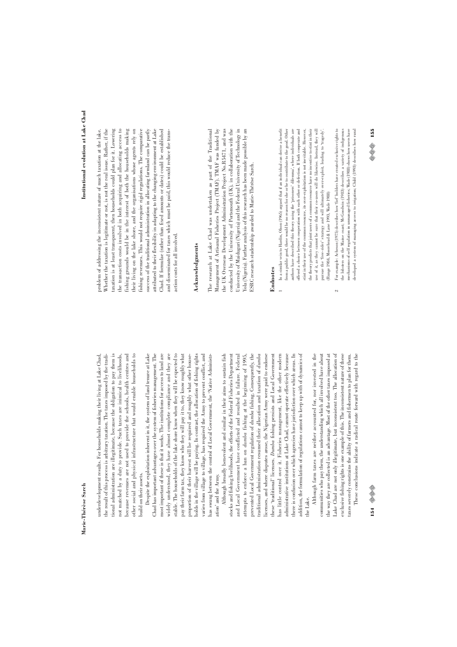tional administration are illegitimate, because the obligation to pay them is other social and physical infrastructure that would enable households to underdevelopment results. For households making their living at Lake Chad, the result of this process is arbitrary taxation. The taxes imposed by the tradithe result of this process is arbitrary taxation. The taxes imposed by the traditional administration are illegitimate, because the obligation to pay them is not matched by a duty to provide. Such taxes are inimical to livelihoods, not matched by a duty to provide. Such taxes are inimical to livelihoods, oecause revenues are not used to provide the schools, health centres and because revenues are not used to provide the schools, health centres and other social and physical infrastructure that would enable households to underdevelopment results. For households making their living at Lake Chad, ouild on their assets. build on their assets.

most important of these is that it works. The institutions for access to land are widely understood, they have almost complete compliance and they are stable. The households of the lake shore know when they will be expected to pay their farm tax, they know who they will pay it to, they know roughly what Despite the exploitation inherent in it, the system of land tenure at Lake Despite the exploitation inherent in it, the system of land tenure at Lake Chad has important advantages over the system of fisheries management. The Chad has important advantages over the system of fisheries management. The most important of these is that it works. The institutions for access to land are widely understood, they have almost complete compliance and they are stable. The households of the lake shore know when they will be expected to pay their farm tax, they know who they will pay it to, they know roughly what proportion of their harvest will be required and roughly what other houseproportion of their harvest will be required and roughly what other housenolds in the village will be paying. In contrast, the allocation of fishing rights holds in the village will be paying. In contrast, the allocation of fishing rights varies from village to village, has required the Army to prevent conflict, and varies from village to village, has required the Army to prevent conflict, and has swung between the control of Local Government, the 'Native Administrhas swung between the control of Local Government, the 'Native Administration' and the Army. ation' and the Army.

prevented Local Government regulation of dumba fishing. Consequently, the raditional administration resumed their allocation and taxation of dumba icenses, and where disputes arose, the Nigerian Army were paid to endorse nas little control over it. Fisheries management, like the other modern has little control over it. Fisheries management, like the other modern there is confusion over which agencies have jurisdiction over which areas. In Although broadly benevolent and similar in their aims to sustain fish Although broadly benevolent and similar in their aims to sustain fish stocks and fishing livelihoods, the efforts of the Federal Fisheries Department stocks and fishing livelihoods, the efforts of the Federal Fisheries Department and Local Government have conflicted and resulted in failure. Federal and Local Government have conflicted and resulted in failure. Federal attempts to enforce a ban on dumba fishing at the beginning of 1995, prevented Local Government regulation of *dumba* fishing. Consequently, the traditional administration resumed their allocation and taxation of *dumba* licenses, and where disputes arose, the Nigerian Army were paid to endorse hese 'traditional' licenses. Dumba fishing persists and Local Government these 'traditional' licenses. *Dumba* fishing persists and Local Government administrative institutions at Lake Chad, cannot operate effectively because administrative institutions at Lake Chad, cannot operate effectively because there is confusion over which agencies have jurisdiction over which areas. In addition, the formulation of regulations cannot to keep up with of dynamics of addition, the formulation of regulations cannot to keep up with of dynamics of attempts to enforce a ban on *dumba* fishing at the beginning of 1995, he Lake.

the way they are collected is an advantage. Most of the other taxes imposed at Lake Chad are not only illegitimate, but inconsistent too. The allocation of Although farm taxes are neither accounted for, nor invested in the Although farm taxes are neither accounted for, nor invested in the communities who pay them, the understanding which all involved have about communities who pay them, the understanding which all involved have about the way they are collected is an advantage. Most of the other taxes imposed at Lake Chad are not only illegitimate, but inconsistent too. The allocation of exclusive fishing rights is one example of this. The inconsistent nature of these exclusive fishing rights is one example of this. The inconsistent nature of these axes severely constrains the ability of farmers and fishermen to plan for them. taxes severely constrains the ability of farmers and fishermen to plan for them.

These conclusions indicate a radical route forward with regard to the These conclusions indicate a radical route forward with regard to the

taxation is at least transparent, then households could plan for it. Lowering the transaction costs involved in both acquiring and allocating access to ishing grounds would be in the interest of both the households making fishing grounds would be in the interest of both the households making fishing revenues. This would not require rigid regulations. The comparative attributed to their flexibility in adapting to the changing environment at Lake oroblem of addressing the inconsistent nature of much taxation at the lake. Whether the taxation is legitimate or not, is not the real issue. Rather, if the Whether the taxation is legitimate or not, is not the real issue. Rather, if the taxation is at least transparent, then households could plan for it. Lowering the transaction costs involved in both acquiring and allocating access to their living on the lake shore, and the organisations whose agents rely on their living on the lake shore, and the organisations whose agents rely on fishing revenues. This would not require rigid regulations. The comparative success of the traditional administration in allocating farmland can be partly success of the traditional administration in allocating farmland can be partly attributed to their flexibility in adapting to the changing environment at Lake Chad. If formulae (rather than fixed amounts or dates) could be established Chad. If formulae (rather than fixed amounts or dates) could be established problem of addressing the inconsistent nature of much taxation at the lake. and disseminated for taxes which must be paid, this would reduce the transand disseminated for taxes which must be paid, this would reduce the transaction costs for all involved. action costs for all involved.

#### Acknowledgments **Acknowledgments**

The research at Lake Chad was undertaken as part of the Traditional Management of Artisanal Fisheries Project (TMAF). TMAF was funded by the UK Overseas Development Administration Project No.R5471, and was conducted by the University of Portsmouth (UK), in collaboration with the University of Maiduguri (Nigeria) and the Federal University of Technology in The research at Lake Chad was undertaken as part of the Traditional Management of Artisanal Fisheries Project (TMAF). TMAF was funded by conducted by the University of Portsmouth (UK), in collaboration with the University of Maiduguri (Nigeria) and the Federal University of Technology in Yola (Nigeria). Further analysis of this research has been made possible by an Yola (Nigeria). Further analysis of this research has been made possible by an the UK Overseas Development Administration Project No.R5471, and was SSRC research studentship awarded to Marie-Thérèse Sarch. ESRC research studentship awarded to Marie-Thérèse Sarch.

# **Endnotes**

- In a similar vein to Hardin, Olson (1965) argued that if an individual can derive a benefit from a public good, there would be no reason for she to the to contribute to the good. Other 1 In a similar vein to Hardin, Olson (1965) argued that if an individual can derive a benefit from a public good, there would be no reason for she or he to contribute to the good. Other authors have described this theory using the 'prisoners' dilemma', where individuals are authors have described this theory using the 'prisoners' dilemma', where individuals are offered a choice between cooperation with each other or defection. If both cooperate and offered a choice between cooperation with each other or defection. If both cooperate and stint in their use of the common resource, its over-exploitation is not inevitable. However, the theory predicts that joint users of a common resource have no incentive to stint in their the theory predicts that joint users of a common resource have no incentive to stint in their use of it, as they cannot be sure that their co-users will do likewise. Instead, they will use of it, as they cannot be sure that their co-users will do likewise. Instead, they will stint in their use of the common resource, its over-exploitation is not inevitable. However, pursue the 'free-rider' strategy and will ultimately over-exploit, leading to 'tragedy'. pursue the 'free-rider' strategy and will ultimately over-exploit, leading to 'tragedy'. (Runge 1984, Moorehead & Lane 1993, Wade 1988) (Runge 1984, Moorehead & Lane 1993, Wade 1988)  $\overline{a}$
- For example: Acheson (1975) describes how 'fief' holders have created exclusive rights to 2 For example: Acheson (1975) describes how 'fief' holders have created exclusive rights to the lobsters on the Maine coast; McGoodwin (1983) describes a variety of indigenous the lobsters on the Maine coast; McGoodwin (1983) describes a variety of indigenous mechanisms of self regulation in unmanaged fisheries; Wade (1988) shows how users have mechanisms of self regulation in unmanaged fisheries; Wade (1988) shows how users have developed a system of managing access to irrigation; Child (1993) describes how rural developed a system of managing access to irrigation; Child (1993) describes how rural  $\sim$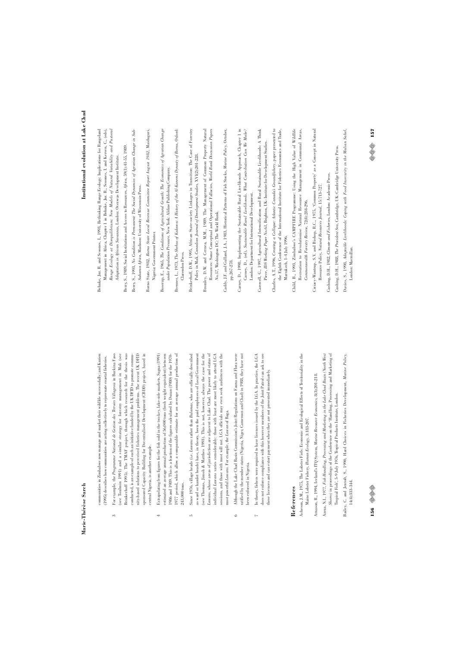communities in Zimbabwe now manage and market their wildlife successfully; and Kurien communities in Zimbabwe now manage and market their wildlife successfully; and Kurien (1995) describes how communities are acting collectively to rejuvenate coastal fisheries. (1995) describes how communities are acting collectively to rejuvenate coastal fisheries.

- For example, the Programme National de Gestion des Terroirs Villageois in Burkina Faso nity-based solutions to perceived fisheries management problems. The recent UK DFID 3 For example, the *Programme National de Gestion des Terroirs Villageois* in Burkina Faso (see Toulmin 1991) and a similar strategy for forestry management in Mali (see (see Toulmin 1991) and a similar strategy for forestry management in Mali (see Brinkerhoff 1995). The TMAF project, through which research for the thesis was Brinkerhoff 1995). The TMAF project, through which research for the thesis was conducted, is an example of such an initiative funded by the UK DFID to promote commuconducted, is an example of such an initiative funded by the UK DFID to promote community-based solutions to perceived fisheries management problems. The recent UK DFID sponsored Capacity Building for Decentralised Development (CBDD) project, based in sponsored Capacity Building for Decentralised Development (CBDD) project, based in central Nigeria, is another example. central Nigeria, is another example.  $\frac{1}{2}$
- estimated an average amual production of 56,000 tons (fresh weight equivalent) between 1980 and 1989. This is a fraction of the figures calculated by Duran (1980) for the 1970-Extrapolating from figures for the fish sold in the two key, lake-side markets, Sagua (1991) 4 Extrapolating from figures for the fish sold in the two key, lake-side markets, Sagua (1991) estimated an average annual production of 56,000 tons (fresh weight equivalent) between 1986 and 1989. This is a fraction of the figures calculated by Duran (1980) for the 1970- 1977 period, which allow a comparable estimate for an average annual production of 1977 period, which allow a comparable estimate for an average annual production of 243,000 tons. 243,000 tons.  $\overline{a}$
- Lawans, whose areas of jurisdiction are adjacent to Lake Chad. The power and status of Since 1976, village heads (i.e. Lawans rather than Bulamas, who are officially described 5 Since 1976, village heads (i.e. *Lawans* rather than *Bulamas,* who are officially described as ward or hamlet heads) have, in theory, been the paid employees of Local Government as ward or hamlet heads) have, in theory, been the paid employees of Local Government (see Thomas, Jimoh & Matthes 1993). This is not, however, always the case for the (see Thomas, Jimoh & Matthes 1993). This is not, however, always the case for the *Lawans,* whose areas of jurisdiction are adjacent to Lake Chad. The power and status of individual Lawans varies considerably: those with least are most likely to attend LGA individual *Lawans* varies considerably: those with least are most likely to attend LGA sessions, and those with most will not. LGA officials may even seek audiences with the sessions, and those with most will not. LGA officials may even seek audiences with the most powerful Lawans. For example, the Lawan of Baga. most powerful *Lawans*. For example, the *Lawan* of Baga.  $\ddot{\circ}$
- Although the Lake Chad Basin Commission's Joint Regulations on Fauna and Flora were 6 Although the Lake Chad Basin Commission's Joint Regulations on Fauna and Flora were ratified by the member states (Nigeria, Niger, Cameroon and Chad) in 1988, they have not ratified by the member states (Nigeria, Niger, Cameroon and Chad) in 1988, they have not been enforced in Nigeria. been enforced in Nigeria.  $\circ$
- In theory, fishers were required to have licences is<br>sued by the LGA. In practice, the LGA does not enforce compliance with this however members of the Joint Patrol can ask to see 7 In theory, fishers were required to have licences issued by the LGA. In practice, the LGA does not enforce compliance with this however members of the Joint Patrol can ask to see these licences and can extort payment when they are not presented immediately. these licences and can extort payment when they are not presented immediately.  $\overline{a}$

# **References**

Acheson, J.M., 1975, The Lobster Fiefs: Economic and Ecological Effects of Territoriality in the Acheson, J.M., 1975, The Lobster Fiefs: Economic and Ecological Effects of Territoriality in the Maine Lobster Fishery, Human Ecology, 3:183-207. Maine Lobster Fishery, *Human Ecology,* 3:183-207.

Arnason, R., 1994, Iceland's ITQ System, Marine Resource Economics, 8(3):201-218. Arnason, R., 1994, Iceland's ITQ System, *Marine Resource Economics,* 8(3):201-218.

- xeza, N.I., 1977, Fish Handling, Processing and Marketing in the Lake Chad Basin (North West Azeza, N.I., 1977, *Fish Handling, Processing and Marketing in the Lake Chad Basin (North West* Shores) in proceedings of the Conference on the 'Handling, Processing and Marketing of *Shores)* in proceedings of the Conference on the 'Handling, Processing and Marketing of Tropical Fish', 5-9 July 1976, Tropical Products Institute, London. Tropical Fish', 5-9 July 1976, Tropical Products Institute, London.
- Bailey, C. and Jentoft, S., 1990, Hard Choices in Fisheries Development, Marine Policy, Bailey, C. and Jentoft, S., 1990, Hard Choices in Fisheries Development, *Marine Policy,*  $14(4):333-344.$ 14(4):333-344.

# **156** ©©

# Institutional evolution at Lake Chad **Institutional evolution at Lake Chad**

- Behnke, Jnr. R. and Scoones, I., 1993, Rethinking Range Ecology: Implications for Rangeland Behnke, Jnr. R. and Scoones, I., 1993, Rethinking Range Ecology: Implications for Rangeland Management in Africa, Chapter 1 in Behnke, Jnr. R., Scoones, I. and Kerven, C., (eds), Range Ecology at Disequilibrium: New Models of Natural Variability and Pastoral *Range Ecology at Disequilibrium: New Models of Natural Variability and Pastoral* Management in Africa, Chapter 1 in Behnke, Jnr. R., Scoones, I. and Kerven, C., (eds), Adaptation in African Savannas, London: Overseas Development Institute. *Adaptation in African Savannas*, London: Overseas Development Institute.
- Berry, S., 1989, Social Institutions and Access to Resources, Africa, 59(1):41-55, 1989. Berry, S., 1989, Social Institutions and Access to Resources, *Africa,* 59(1):41-55, 1989.
- Berry, S., 1993, No Condition is Permanent: The Social Dynamics of Agrarian Change in Sub-Berry, S., 1993, *No Condition is Permanent: The Social Dynamics of Agrarian Change in Sub-*Saharan Africa, Madison: University of Wisconsin Press. *Saharan Africa*, Madison: University of Wisconsin Press.
- Borno State, 1982, Borno State Local Revenue Committee Report August 1982, Maiduguri, Borno State, 1982, *Borno State Local Revenue Committee Report August 1982*, Maiduguri, Nigeria: Government Printer. Nigeria: Government Printer.
- Boserup, E., 1965, The Conditions of Agricultural Growth: The Economics of Agrarian Change Boserup, E., 1965, *The Conditions of Agricultural Growth: The Economics of Agrarian Change* under Population Pressure, New York: Aldine Publishing Company. *under Population Pressure*, New York: Aldine Publishing Company.
- Brenner, L., 1973, *The Shehus of Kukawa: A History of the Al-Kanemi Dynasty of Bornu*, Oxford: Brenner, L., 1973, *The Shehus of Kukawa: A History of the Al-Kanemi Dynasty of Bornu*, Oxford: Clarendon Press. Clarendon Press.
- Brinkerhoff, D.W., 1995, African State-society Linkages in Transition: The Case of Forestry Brinkerhoff, D.W., 1995, African State-society Linkages in Transition: The Case of Forestry Policy in Mali, Canadian Journal of Development Studies, XVI(2):201-228. Policy in Mali, *Canadian Journal of Development Studies,* XVI(2):201-228.
- Bromley, D.W. and Cernea, M.M., 1989, The Management of Common Property Natural Bromley, D.W. and Cernea, M.M., 1989, The Management of Common Property Natural Resources: Some Conceptual and Operational Fallacies, World Bank Discussion Papers Resources: Some Conceptual and Operational Fallacies, *World Bank Discussion Papers* No.57, Washington DC: The World Bank. *No.57*, Washington DC: The World Bank.
- Caddy, J.F. and Gulland, J.A., 1983, Historical Patterns of Fish Stocks, Marine Policy, October, Caddy, J.F. and Gulland, J.A., 1983, Historical Patterns of Fish Stocks, *Marine Policy,* October, pp.267-278. pp.267-278.
- Carney, D., 1998, Implementing the Sustainable Rural Livelihoods Approach, Chapter 1 in Carney, D., 1998, Implementing the Sustainable Rural Livelihoods Approach, Chapter 1 in Carney, D., (ed), Sustainable Rural Livelihoods. What Contribution Can We Make? Carney, D., (ed), *Sustainable Rural Livelihoods. What Contribution Can We Make?* London: Department for International Development. London: Department for International Development.
- Carswell, G., 1997, Agricultural Intensification and Rural Sustainable Livelihoods: A Think Carswell, G., 1997, Agricultural Intensification and Rural Sustainable Livelihoods: A Think Piece, IDS Working Paper No.63, Brighton, UK: Institute for Development Studies. Piece, *IDS Working Paper No.63*, Brighton, UK: Institute for Development Studies.
- Charles, A.T., 1996, *Creating a Collapse: Atlantic Canada's Groundfishery*, paper presented to the Eighth Conference of the International Institute for Fisheries Economics and Trade, the Eighth Conference of the International Institute for Fisheries Economics and Trade, Charles, A.T., 1996, Creating a Collapse: Atlantic Canada's Groundfishery, paper preset Marrakech, 1-4 July 1996. Marrakech, 1-4 July 1996.
- Child, B., 1993, Zimbabwe's CAMPFIRE Programme: Using the High Value of Wildlife Child, B., 1993, Zimbabwe's CAMPFIRE Programme: Using the High Value of Wildlife Recreation to Revolutionise Natural Resource Management in Communal Areas, Recreation to Revolutionise Natural Resource Management in Communal Areas, Commonwealth Forestry Review, 72(4):284-296. *Commonwealth Forestry Review,* 72(4):284-296.
- Ciriacy-Wantrup, S.V. and Bishop, R.C., 1975, 'Common Property' as a Concept in Natural Ciriacy-Wantrup, S.V. and Bishop, R.C., 1975, 'Common Property' as a Concept in Natural Resource Policy, Natural Resources Journal, 15:713-727. Resource Policy, *Natural Resources Journal,* 15:713-727.
- Cushing, D.H., 1982, Climate and Fisheries, London: Academic Press. Cushing, D.H., 1982, *Climate and Fisheries*, London: Academic Press.
- Cushing, D.H., 1988, The Provident Sea, Cambridge, UK: Cambridge University Press. Cushing, D.H., 1988, *The Provident Sea*, Cambridge, UK: Cambridge University Press.
- Davies, S., 1998, Adaptable Livelihoods: Coping with Food Insecurity in the Malian Sahel, Davies, S., 1998, *Adaptable Livelihoods: Coping with Food Insecurity in the Malian Sahel*, London: Macmillan. London: Macmillan.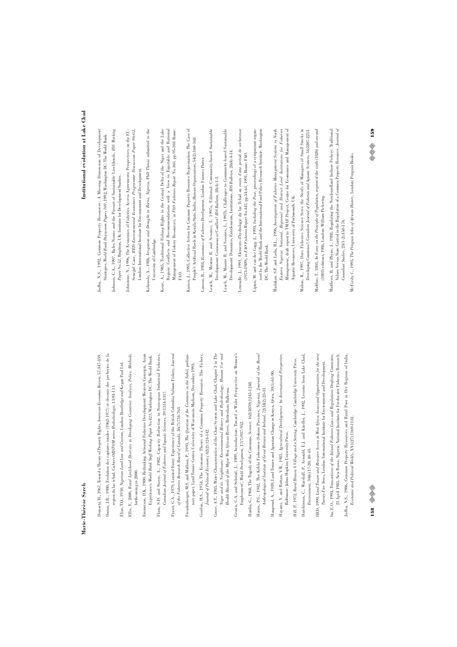Demsetz, H., 1967, Toward a Theory of Property Rights, American Economic Review, 57:347-359. Demsetz, H., 1967, Toward a Theory of Property Rights, *American Economic Review,* 57:347-359.

- Duran, J.R., 1980, Evolution des captures totales (1962-1977) et devenir des pecheries de la Duran, J.R., 1980, Evolution des captures totales (1962-1977) et devenir des pecheries de la region du lac tchad, Calúers ORSTOM series Hydrobiologie, 13:93-111. region du lac tchad, *Cahiers ORSTOM series Hydrobiologie,* 13:93-111.
	- Elias, T.O., 1950, Nigerian Land Law and Custom, London: Routledge and Kegan Paul Ltd. Elias, T.O., 1950, *Nigerian Land Law and Custom*, London: Routledge and Kegan Paul Ltd.
- Ellis, F., 2000, Raral Livelihood Diversity in Developing Countries: Analysis, Policy, Methods, Ellis, F., 2000, *Rural Livelihood Diversity in Developing Countries: Analysis, Policy, Methods*, forthcoming in 2000. forthcoming in 2000.
- Emmerson, D.K., 1980, Rethinking Artisanal Fisheries Development: Western Concepts, Asian Emmerson, D.K., 1980, Rethinking Artisanal Fisheries Development: Western Concepts, Asian Experiences, World Bank Staff Working Paper No.423, Washington DC: The World Bank. Experiences, *World Bank Staff Working Paper No.423*, Washington DC: The World Bank.
	- Flam, S.D. and Storoy, A., 1982, Capacity Reduction in Norwegian Industrial Fisheries, Flam, S.D. and Storoy, A., 1982, Capacity Reduction in Norwegian Industrial Fisheries,  $\emph{Canadian Journal of Fisheries and Aquatic Sciences}, 39:1314-1317.$ *Canadian Journal of Fisheries and Aquatic Sciences*, 39:1314-1317.
- Fraser, G.A., 1979, Limited Entry: Experience of the British Columbia Salmon Fishery, Journal Fraser, G.A., 1979, Limited Entry: Experience of the British Columbia Salmon Fishery, *Journal* of the Fisheries Research Board of Canada,  $36(7)$ :754-763. *of the Fisheries Research Board of Canada*, 36(7):754-763.
- Freudenberger, M.S. and Mathieu, P., 1993, The Question of the Commons in the Sahel, prelimi-Freudenberger, M.S. and Mathieu, P., 1993, *The Question of the Commons in the Sahel*, preliminary paper, Land Tenure Center, University of Wisconsin-Madison, December 1993. nary paper, Land Tenure Center, University of Wisconsin-Madison, December 1993.
- Gordon, H.S., 1954, The Economic Theory of a Common Property Resource: The Fishery, Gordon, H.S., 1954, The Economic Theory of a Common Property Resource: The Fishery, Journal of Political Economy, 62(2):124-142. *Journal of Political Economy,* 62(2):124-142.
- Grove, A.T., 1985, Water Characteristics of the Chari System and Lake Chad, Chapter 3 in The Grove, A.T., 1985, Water Characteristics of the Chari System and Lake Chad, Chapter 3 in *The* Niger and its Neighbours: Environmental History and Hydrobiology, Human Use and *Niger and its Neighbours: Environmental History and Hydrobiology, Human Use and* Health Hazards of the Major West African Rivers, Rotterdam: Balkema. *Health Hazards of the Major West African Rivers*, Rotterdam: Balkema.
- Grown, C.A. and Selstad, J., 1989, Introduction: Toward a Wider Perspective on Women's Grown, C.A. and Sebstad, J., 1989, Introduction: Toward a Wider Perspective on Women's Employment', World Development, 17(7):937-952. Employment', *World Development,* 17(7):937-952.
- Hardin, G., 1968, The Tragedy of the Commons, Science, 162(3859):1243-1248. Hardin, G., 1968, The Tragedy of the Commons, *Science,* 162(3859):1243-1248.
- Harris, P.G., 1942, The Kebbi Fishermen (Sokoto Province, Nigeria), Journal of the Royal Harris, P.G., 1942, The Kebbi Fishermen (Sokoto Province, Nigeria), *Journal of the Royal* Anthropological Institute of Great Britain and Ireland, 72(1&2):23-31. *Anthropological Institute of Great Britain and Ireland*, 72(1&2):23-31.
- Hayami, Y. and Ruttan, V.W., 1985, Agricultural Development: An International Perspective, Haugerud, A., 1989, Land Tenure and Agrarian Change in Kenya, Africa, 59(1):61-90. Haugerud, A., 1989, Land Tenure and Agrarian Change in Kenya, *Africa*, 59(1):61-90.
	- Hayami, Y. and Ruttan, V.W., 1985, *Agricultural Development: An International Perspective*, Baltimore: Johns Hopkins University Press. Baltimore: Johns Hopkins University Press.
		- Hutchinson, C., Warshall, P., Arnould, E.J. and Kindler, J., 1992, Lessons from Lake Chad, Hutchinson, C., Warshall, P., Arnould, E.J. and Kindler, J., 1992, Lessons from Lake Chad, Hill, P., 1972, Rural Hausa: A Village and a Setting, Cambridge: Cambridge University Press. Hill, P., 1972, *Rural Hausa: A Village and a Setting,* Cambridge: Cambridge University Press.
- IIED, 1999, Land Tenure and Resource Access in West Africa: Issues and Opportunities for the next IIED, 1999, *Land Tenure and Resource Access in West Africa: Issues and Opportunities for the next* Twenty Five Years, London: International Institute for Environment and Development. Environment, 34(6):17-20; 40-43. *Environment,* 34(6):17-20; 40-43.
- Ita, E.O., 1993, Transactions of the Inland Fisheries Laws and Regulations Drafting Committee, Ita, E.O., 1993, *Transactions of the Inland Fisheries Laws and Regulations Drafting Committee*, 25 April 1985, New Bussa, Nigeria: National Institute for Freshwater Fisheries Research. 25 April 1985, New Bussa, Nigeria: National Institute for Freshwater Fisheries Research. *Twenty Five Years*, London: International Institute for Environment and Development.
	- Jodha, N.S., 1986, Common Property Resources and Rural Poor in Dry Regions of India, Jodha, N.S., 1986, Common Property Resources and Rural Poor in Dry Regions of India, Economic and Political Weekly, XX1(27):1169-1181. *Economic and Political Weekly*, XX1(27):1169-1181.
		-
- fodha, N.S., 1992, Common Property Resources: A Missing Dimension of Development Jodha, N.S., 1992, Common Property Resources: A Missing Dimension of Development Strategies, World Bank Discussion Papers 169, 1992, Washington DC: The World Bank. Strategies, *World Bank Discussion Papers 169*, 1992, Washington DC: The World Bank.
- Johnson, C.A., 1997, Rules Norms and the Pursuit of Sustainable Livelihoods, IDS Working Johnson, C.A., 1997, Rules Norms and the Pursuit of Sustainable Livelihoods, *IDS Working* Paper No.52, Brighton, UK: Institute for Development Studies. *Paper No.52*, Brighton, UK: Institute for Development Studies.
- ohnstone, N., 1996, The Economics of Fisheries Access Agreements: Perspectives on the EU-Johnstone, N., 1996, The Economics of Fisheries Access Agreements: Perspectives on the EU-Senegal Case, IIED-Environmental Economics Programme Discussion Paper 96-02, Senegal Case, *IIED-Environmental Economics Programme Discussion Paper 96-02*, London: International Institute for Environment and Development. London: International Institute for Environment and Development.
- Kolawole, A., 1986, Irrigation and Drought in Borno, Nigeria, PhD Thesis submitted to the Kolawole, A., 1986, *Irrigation and Drought in Borno, Nigeria*, PhD Thesis submitted to the University of Cambridge. University of Cambridge.
- Kone, A., 1985, Traditional Fishing Rights in the Central Delta of the Niger and the Lake Kone, A., 1985, Traditional Fishing Rights in the Central Delta of the Niger and the Lake Region: Conflicts and Recommendations with a View to Equitable and Rational Management of Fishery Resources, in  $F\wr O$  Fisheries Report  $No.36O,$  pp.95–103 Rome: Region: Conflicts and Recommendations with a View to Equitable and Rational Management of Fishery Resources, in *FAO Fisheries Report No.360*, pp.95-103 Rome: FAO.
- Kurien, J., 1995, Collective Action for Common Property Resource Rejuvenation: The Case of Kurien, J., 1995, Collective Action for Common Property Resource Rejuvenation: The Case of People's Artificial Reefs in Kerala State, India, Human Organisation, 54(2):160-168. People's Artificial Reefs in Kerala State, India, *Human Organisation*, 54(2):160-168.
- Lawson, R., 1984, Economics of Fisheries Development, London: Frances Pinter. Lawson, R., 1984, *Economics of Fisheries Development*, London: Frances Pinter.
- Leach, M., Mearns R. and Scoones, I., 1997a, Editorial: Community-based Sustainable Leach, M., Mearns R. and Scoones, I., 1997a, Editorial: Community-based Sustainable Development: Consensus or Conflict? IDS Bulletin, 28(4):1-3. Development: Consensus or Conflict? *IDS Bulletin,* 28(4):1-3.
- Leach, M., Mearns R. and Scoones, I., 1997b, Challenges to Community-based Sustainable Leach, M., Mearns R. and Scoones, I., 1997b, Challenges to Community-based Sustainable Development: Dynamics, Entitlements, Institutions, IDS Bulletin, 28(4):4-14. Development: Dynamics, Entitlements, Institutions, *IDS Bulletin,* 28(4):4-14.
- Lemoalle, J., 1991, Elements d'hydrologie du lac Tchad au cours d'une period de secheresse Lemoalle, J., 1991, Elements d'hydrologie du lac Tchad au cours d'une period de secheresse (1973-1989), in FAO Fisheries Report No.445, pp.54-61, 1991, Rome: FAO. (1973-1989), in *FAO Fisheries Report No.445,* pp.54-61, 1991, Rome: FAO.
- Lipton, M. and van der Gagg, J., 1993, Including the Poor, proceedings of a symposium organ-Lipton, M. and van der Gagg, J., 1993, *Including the Poor*, proceedings of a symposium organised by the World Bank and the International Food Policy Research Institute, Washington ised by the World Bank and the International Food Policy Research Institute, Washington DC: The World Bank. DC: The World Bank.
- Madakan, S.P. and Ladu, B.L., 1996, Investigation of Fisheries Management Systems in North Madakan, S.P. and Ladu, B.L., 1996, *Investigation of Fisheries Management Systems in North* Eastern Nigeria: National, Regional and District Level Institutions for Fisheries Management, draft report to TMAF Project, Centre for Economics and Management of *Management*, draft report to TMAF Project, Centre for Economics and Management of *Eastern Nigeria: National, Regional and District Level Institutions for Fisheries* Aquatic Resources, University of Portsmouth, UK. Aquatic Resources, University of Portsmouth, UK.
- Mahon, R., 1997, Does Fisheries Science Serve the Needs of Managers of Small Stocks in Mahon, R., 1997, Does Fisheries Science Serve the Needs of Managers of Small Stocks in Developing Countries?, Canadian Journal of Fisheries and Aquatic Sciences, 54:2207-2213. Developing Countries?, *Canadian Journal of Fisheries and Aquatic Sciences,* 54:2207-2213.
- Malthus, T., 1803, An Essay on the Principle of Population, reprint of the sixth (1826) and second Malthus, T., 1803, *An Essay on the Principle of Population*, reprint of the sixth (1826) and second (1803) editions, 1986, London: William Pickering. (1803) editions, 1986, London: William Pickering.
- Matthews, R. and Phyne, J., 1988, Regulating the Newfoundland Inshore Fishery: Traditional Matthews, R. and Phyne, J., 1988, Regulating the Newfoundland Inshore Fishery: Traditional Values Versus State Control in the Regulation of a Common Property Resource, Journal of Values Versus State Control in the Regulation of a Common Property Resource, *Journal of* Canadian Studies, 23(1-2):158-176. *Canadian Studies,* 23(1-2):158-176.
- McEvedy, C., 1995, The Penguin Atlas of African History, London: Penguin Books. McEvedy, C., 1995, *The Penguin Atlas of African History*, London: Penguin Books.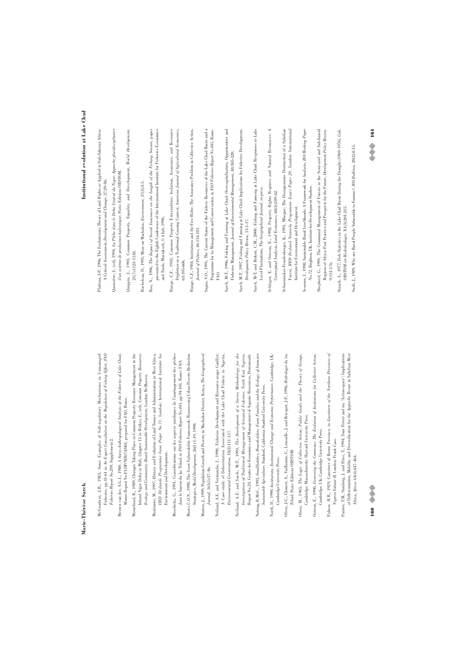- McGoodwin, J.R., 1983, Some Examples of Self-regulatory Mechanisms in Unmanaged McGoodwin, J.R., 1983, Some Examples of Self-regulatory Mechanisms in Unmanaged Fisheries, pp.41-61 in An Expert Consultation on the Regulation of Fishing Effort, FAO Fisheries, pp.41-61 in *An Expert Consultation on the Regulation of Fishing Effort*, *FAO* Fisheries Report No.289, Supplement 2. *Fisheries Report No.289*, Supplement 2.
- Meeren van der, A.G.L., 1980, *A Socio-Anthropological Analysis of the Fisheries of Lake Chad*, Meeren van der, A.G.L., 1980, A Socio-Authropological Analysis of the Fisheries of Lake Chad, Mimeo Report No.FI:DP/NIR/74/001, prepared for FAO, Rome. Mimeo Report No.FI:DP/NIR/74/001, prepared for FAO, Rome.
- Moorehead, R., 1989, Changes Taking Place in Common Property Resource Management in the Moorehead, R., 1989, Changes Taking Place in Common Property Resource Management in the Inland Niger Delta in Mali, Chapter 15 in Berkes, F., (ed), Common Property Resources: Inland Niger Delta in Mali, Chapter 15 in Berkes, F., (ed), *Common Property Resources:* Ecology and Community-Based Sustainable Development, London: Bellhaven. *Ecology and Community-Based Sustainable Development*, London: Bellhaven.
- Mortimore, M., 1997, History and Evolution of Land Tenure and Administration in West Africa, Mortimore, M., 1997, History and Evolution of Land Tenure and Administration in West Africa, IIED Drylands Programme Issue Paper No.71, London: International Institute for *IIED Drylands Programme Issue Paper No.71*, London: International Institute for Environment and Development. Environment and Development.
- Moschetta, G., 1991, Considérations sur les aspects juridiques de l'aménagement des pêches Moschetta, G., 1991, Considérations sur les aspects juridiques de l'aménagement des pêches dans le bassin du lac Tchad, in FAO Fisheries Report No.445, pp.94-101, Rome: FAO. dans le bassin du lac Tchad, in *FAO Fisheries Report No.445,* pp.94-101, Rome: FAO.
- Moser, C.O.N., 1998, The Asset Vulnerability Framework: Reassessing Urban Poverty Reduction Moser, C.O.N., 1998, The Asset Vulnerability Framework: Reassessing Urban Poverty Reduction Strategies, World Development, 26(1):1-19, 1998. Strategies, *World Development*, 26(1):1-19, 1998.
- Murton, J., 1999, Population Growth and Poverty in Machakos District, Kenya, The Geographical Murton, J., 1999, Population Growth and Poverty in Machakos District, Kenya, *The Geographical* Journal, 165(1):37-46. *Journal*, 165(1):37-46.
- Neiland, A.E. and Verinumbe, I., 1990, Fisheries Development and Resource-usage Conflict: Veiland, A.E. and Verinumbe, I., 1990, Fisheries Development and Resource-usage Conflict: A Case-study of Deforestation Associated with the Lake Chad Fishery in Nigeria, A Case-study of Deforestation Associated with the Lake Chad Fishery in Nigeria,  $\label{eq:invariant} Eniv command \emph{Conseration}, 18(2); 111-117.$ *Environmental Conservation,* 18(2):111-117.
- Neiland, A.E. and Sarch, M-T., 1993, The Development of a Survey Methodology for the Neiland, A.E. and Sarch, M-T., 1993, *The Development of a Survey Methodology for the* Investigation of Traditional Management of Artisanal Fisheries, North East Nigeria, *Investigation of Traditional Management of Artisanal Fisheries, North East Nigeria*, Report No.24, Centre for Economics and Management of Aquatic Resources, Portsmouth Report No.24, Centre for Economics and Management of Aquatic Resources, Portsmouth
- Netting, R.McC., 1993, Smallholders, Householders: Farm Families and the Ecology of Intensive Netting, R.McC., 1993, *Smallholders, Householders: Farm Families and the Ecology of Intensive* Sustainable Agriculture, Stanford, California: Stanford University Press. *Sustainable Agriculture*, Stanford, California: Stanford University Press.
- North, D., 1990, Institutions, Institutional Change and Economic Performance, Cambridge, UK: North, D., 1990, *Institutions, Institutional Change and Economic Performance*, Cambridge, UK: Cambridge University Press. Cambridge University Press.
- Olivry, J-C., Chouret, A., Vuillaume, G., Lemoalle, J. and Bricquet, J-P., 1996, Hydrologie du lac Olivry, J-C., Chouret, A., Vuillaume, G., Lemoalle, J. and Bricquet, J-P., 1996, *Hydrologie du lac* Tchad, Paris: Editions ORSTOM. *Tchad*, Paris: Editions ORSTOM.
- Olson, M., 1965, The Logic of Collective Action, Public Goods and the Theory of Groups, Olson, M., 1965, *The Logic of Collective Action, Public Goods and the Theory of Groups*, Cambridge, Massachusetts: Harvard University Press. Cambridge, Massachusetts: Harvard University Press.
- Ostrom, E., 1990, *Governing the Commons: The Evolution of Institutions for Collective Action*, Ostrom, E., 1990, Governing the Commons: The Evolution of Institutions for Collective Action Cambridge, UK: Cambridge University Press. Cambridge, UK: Cambridge University Press.
- Palmer, H.R., 1929, Gazetteer of Bornu Province, in Gazetteers of the Northern Provinces of Palmer, H.R., 1929, Gazetteer of Bornu Province, in *Gazetteers of the Northern Provinces of* Nigeria Volume II, London: Frank Cass. *Nigeria Volume II,* London: Frank Cass.
- Painter, T.M., Sumberg, J. and Price, T., 1994, Your Terroir and my 'Action-space': Implications Painter, T.M., Sumberg, J. and Price, T., 1994, Your *Terroir* and my 'Action-space': Implications of Differentiation, Mobility and Diversification for the Approche Terroir in Sahelian West of Differentiation, Mobility and Diversification for the *Approche Terroir* in Sahelian West Africa, Africa, 64(4):447-464. Africa, *Africa,* 64(4):447-464.

# Institutional evolution at Lake Chad **Institutional evolution at Lake Chad**

- Platteau, J-P., 1996, The Evolutionary Theory of Land Rights as Applied to Sub-Saharan Africa: Platteau, J-P., 1996, The Evolutionary Theory of Land Rights as Applied to Sub-Saharan Africa: A Critical Assessment, Development and Change, 27:29-86. A Critical Assessment, *Development and Change*, 27:29-86.
- Quensière, J., (ed), 1994, *La Pêche dans le Delta Central du Niger: Approche pluridisciplinaire* Quensière, J., (ed), 1994, La Pèche dans le Delta Central du Niger: Approche pluridisciplinair d'un système de production halieutique, Paris: Editions ORSTOM. *d'un système de production halieutique*, Paris: Editions ORSTOM.
- Quiggin, J., 1993, Common Property, Equality, and Development, World Development, Quiggin, J., 1993, Common Property, Equality, and Development, *World Development,*  $21(7):1123-1138.$ 21(7):1123-1138.
- Rocheleau, D., 1995, More on Machakos, Environment, 37(3):3-5. Rocheleau, D., 1995, More on Machakos, *Environment,* 37(3):3-5.
- Roy, N., 1996, The Impact of Social Insurance on the Length of the Fishing Season, paper Roy, N., 1996, *The Impact of Social Insurance on the Length of the Fishing Season*, paper presented to the Eighth Conference of the International Institute for Fisheries Economics presented to the Eighth Conference of the International Institute for Fisheries Economics and Trade, Marrakech, 1-4 July 1996.

and Trade, Marrakech, 1-4 July 1996.

- Runge, C.F., 1981, Common Property Externalities: Isolation, Assurance, and Resource Runge, C.F., 1981, Common Property Externalities: Isolation, Assurance, and Resource Depletion in a Traditional Grazing Context, American Journal of Agricultural Economics, Depletion in a Traditional Grazing Context, *American Journal of Agricultural Economics*, 63:595-606. 63:595-606.
- Runge, C.F., 1984, Institutions and the Free Rider: The Assurance Problem in Collective Action, Runge, C.F., 1984, Institutions and the Free Rider: The Assurance Problem in Collective Action,  $Journal \ of \ Politics, 46:154-181.$ *Journal of Politics*, 46:154-181.
- Sagua, V.O., 1991, The Current Status of the Fishery Resources of the Lake Chad Basin and a Sagua, V.O., 1991, The Current Status of the Fishery Resources of the Lake Chad Basin and a Programme for its Management and Conservation, in FAO Fisheries Report No.445, Rome: Programme for its Management and Conservation, in *FAO Fisheries Report No.445*, Rome: FAO.
- Sarch, M-T., 1996, Fishing and Farming at Lake Chad: Overcapitalisation, Opportunities and Sarch, M-T., 1996, Fishing and Farming at Lake Chad: Overcapitalisation, Opportunities and Fisheries Management, Journal of Environmental Management, 48:305-320. Fisheries Management, *Journal of Environmental Management*, 48:305-320.
- Sarch, M-T., 1997, Fishing and Farming at Lake Chad: Implications for Fisheries Development, Sarch, M-T., 1997, Fishing and Farming at Lake Chad: Implications for Fisheries Development, Development Policy Review, 15:1-17. *Development Policy Review*, 15:1-17.
- Sarch, M-T. and Birkett, C.M., 2000, Fishing and Farming at Lake Chad: Responses to Lake Sarch, M-T. and Birkett, C.M., 2000, Fishing and Farming at Lake Chad: Responses to Lake Level Fluctuations, The Geographical Journal, in press. Level Fluctuations, *The Geographical Journal*, in press.
- Schlager, E. and Ostrom, E., 1992, Property Rights Regimes and Natural Resources: A Schlager, E. and Ostrom, E., 1992, Property Rights Regimes and Natural Resources: A Conceptual Analysis, Land Economics, 68(3):249-62. Conceptual Analysis, *Land Economics*, 68(3):249-62.
- Schoonmaker-Freudenberger, K., 1991, Mbegue: The Disingenuous Destruction of a Sahelian<br>Forest, IIED Dryland Networks Programme Issues Paper 29, London: International Schoonmaker-Freudenberger, K., 1991, Mbegue: The Disingenuous Destruction of a Sahelian Forest, *IIED Dryland Networks Programme Issues Paper 29*, London: International Institute for Environment and Development. Institute for Environment and Development.
- Scoones, I., 1998, Sustainable Rural Livelihoods: A Framework for Analysis, IDS Working Paper Scoones, I., 1998, Sustainable Rural Livelihoods: A Framework for Analysis, *IDS Working Paper* No.72, Brighton, UK: Institute for Development Studies. *No.72*, Brighton, UK: Institute for Development Studies.
- Shepherd, G., 1991, The Communal Management of Forests in the Semi-arid and Sub-humid Shepherd, G., 1991, The Communal Management of Forests in the Semi-arid and Sub-humid Regions of Africa: Past Practice and Prospects for the Future, Development Policy Review, Regions of Africa: Past Practice and Prospects for the Future, *Development Policy Review,* 9:151-176.
- Stauch, A., 1977, Fish Statistics in the Lake Chad Basin During the Drought (1969-1976), Cah. Stauch, A., 1977, Fish Statistics in the Lake Chad Basin During the Drought (1969-1976), *Cah.* ORSTOM ser Hydrobiologie, X1(3):201-215. *ORSTOM sér Hydrobiologie,* X1(3):201-215.
- Swift, J., 1989, Why are Rural People Vulnerable to Famine?, IDS Bulletin, 20(2):8-15. Swift, J., 1989, Why are Rural People Vulnerable to Famine?, *IDS Bulletin,* 20(2):8-15.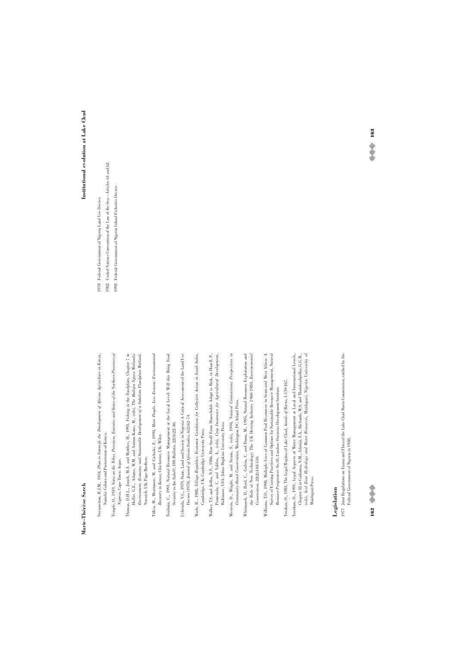- Swynnerton, R.J.M., 1954, Plan to Intensify the Development of African Agriculture in Kenya, Swynnerton, R.J.M., 1954, *Plan to Intensify the Development of African Agriculture in Kenya*, Nairobi: Colony and Protectorate of Kenya. Nairobi: Colony and Protectorate of Kenya.
- Temple, 0., 1919, Notes on the Tribes, Provinces, Emirates and States of the Northern Provinces of Temple, O., 1919, *Notes on the Tribes, Provinces, Emirates and States of the Northern Provinces of* Nigeria, Cape Town: Argus. *Nigeria*, Cape Town: Argus.
- Thomas, D.H.L., Jimoh, M.A. and Matthes, H., 1993, Fishing in the floodplain, Chapter 7 in Hollis, G.E., Adams, W.M. and Aminu-Kano, M., (eds), The Hadejia Nguru Wetlands:<br>Environment, Economy and Sustainable Development of a Sahelian Floodplain Wetland, Thomas, D.H.L., Jimoh, M.A. and Matthes, H., 1993, Fishing in the floodplain, Chapter 7 in Hollis, G.E., Adams, W.M. and Aminu-Kano, M., (eds), *The Hadejia Nguru Wetlands: Environment, Economy and Sustainable Development of a Sahelian Floodplain Wetland*, Norwich, UK: Page Brothers. Norwich, UK: Page Brothers.
- Tiffen, M., Mortimore, M. and Gichuki, F., 1994, More People, Less Erosion: Environmental Tiffen, M., Mortimore, M. and Gichuki, F., 1994, *More People, Less Erosion: Environmental* Recovery in Kenya, Chichester, UK: Wiley. *Recovery in Kenya*, Chichester, UK: Wiley.
- Toulmin, C., 1991, Natural Resource Management at the Local Level: Will this Bring Food Toulmin, C., 1991, Natural Resource Management at the Local Level: Will this Bring Food Security to the Sahel?, IDS Bulletin, 22(3):22-30. Security to the Sahel?, *IDS Bulletin*, 22(3):22-30.
- Uchendu, V.C., 1979, State, Land and Society in Nigeria: A Critical Assessment of the Land Use Uchendu, V.C., 1979, State, Land and Society in Nigeria: A Critical Assessment of the Land Use Decree (1978), Journal of African Studies, 6(2):62-74. Decree (1978), *Journal of African Studies*, 6(2):62-74.
- Wade, R., 1988, Village Republics: Economic Conditions for Collective Action in South India, Wade, R., 1988, *Village Republics: Economic Conditions for Collective Action in South India*, Cambridge, UK: Cambridge University Press. Cambridge, UK: Cambridge University Press.
- Walter, T.S. and Jodha, N.S., 1986, How Small Fam Households Adapt to Risk, in Hazell, P., Pomerada, C. and Valdes, A., (eek), *Grop Insurance for Agricultural Development*, Walker, T.S. and Jodha, N.S., 1986, How Small Farm Households Adapt to Risk, in Hazell, P., Pomerada, C. and Valdes, A., (eds), *Crop Insurance for Agricultural Development*, Baltimore, USA: Johns Hopkins University Press. Baltimore, USA: Johns Hopkins University Press.
- Western, D., Wright, M. and Strum, S., (eds), 1994, Natural Connections: Perspectives in Western, D., Wright, M. and Strum, S., (eds), 1994, *Natural Connections: Perspectives in* Community-Based Conservation, Washington DC: Island Press. *Community-Based Conservation*, Washington DC: Island Press.
- Whitmarsh, D., Reid, C., Gulvin, C. and Dunn, M., 1995, Natural Resource Exploitation and Whitmarsh, D., Reid, C., Gulvin, C. and Dunn, M., 1995, Natural Resource Exploitation and the Role of New Technology: The UK Herring Industry 1960-1980, *Environmental* the Role of New Technology: The UK Herring Industry 1960-1980, Environmenta Conservation, 22(2):103-110. *Conservation*, 22(2):103-110.
- Williams, T.O., 1998, Multiple Uses of Common Pool Resources in Semi-arid West Africa: A Survey of Existing Practices and Options for Sustainable Resource Management, Natural Resource Perspectives No.38, London: Overseas Development Institute. Williams, T.O., 1998, Multiple Uses of Common Pool Resources in Semi-arid West Africa: A Survey of Existing Practices and Options for Sustainable Resource Management, *Natural Resource Perspectives No.38*, London: Overseas Development Institute.
- Yerokun, O., 1983, The Legal Regime of Lake Chad, Annals of Borno, 1:159-167. Yerokun, O., 1983, The Legal Regime of Lake Chad, *Annals of Borno*, 1:159-167.
- (eds), Arid Zone Hydrology and Water Resources, Maiduguri, Nigeria: University of Yerokun, O., 1991, Legal Aspects of Water Management at Local and International Levels, Yerokun, O., 1991, Legal Aspects of Water Management at Local and International Levels, Chapter 32 in Gadzama, N.M., Adeniji, F.A., Richards, W.S. and Thambyahpillay, G.G.R., Chapter 32 in Gadzama, N.M., Adeniji, F.A., Richards, W.S. and Thambyahpillay, G.G.R., (eds), *Arid Zone Hydrology and Water Resources*, Maiduguri, Nigeria: University of Maiduguri Press. Maiduguri Press.

**Legislation**<br>1977 Joint Regulations on Fauna and Flora of the Lake Chad Basin Commission, ratified by the 1977 Joint Regulations on Fauna and Flora of the Lake Chad Basin Commission, ratified by the Federal Government of Nigeria in 1988. Federal Government of Nigeria in 1988.

**162** ©©

# Institutional evolution at Lake Chad **Institutional evolution at Lake Chad**

1982 United Nations Convention of the Law of the Sea - Articles 61 and 62. 1982 United Nations Convention of the Law of the Sea – Articles 61 and 62. 1992 Federal Government of Nigeria Inland Fisheries Decree. 1992 Federal Government of Nigeria Inland Fisheries Decree. 1978 Federal Government of Nigeria Land Use Decree. 1978 Federal Government of Nigeria Land Use Decree.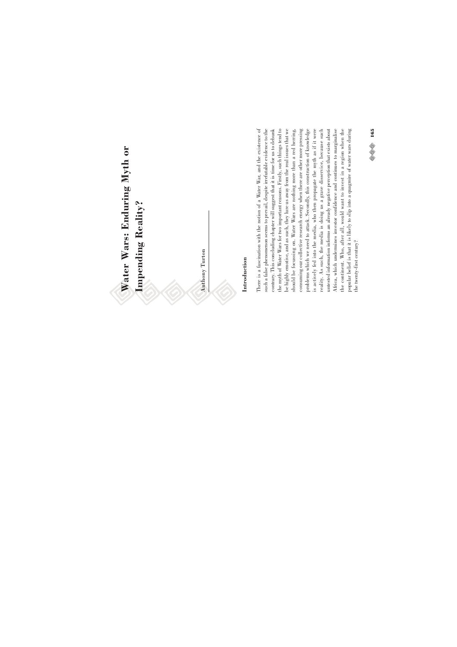Water Wars: Enduring Myth or **Water Wars: Enduring Myth or** Impending Reality? **Impending Reality?**

Anthony Turton Anthony Turton

# **Introduction**

There is a fascination with the notion of a Water War, and the existence of such a false phenomenon seems to prevail, despite irrefutable evidence to the the myth of Water Wars for two important reasons. Firstly, such things tend to problems which we need to attack. Secondly, this construction of knowledge contrary. This concluding chapter will suggest that it is time for us to debunk be highly emotive, and as such, they lure us away from the real issues that we should be focussing on. Water Wars are nothing more than a red herring, consuming our collective research energy when there are other more pressing is actively fed into the media, who then propagate the myth as if it were reality. As such, the media is doing us a grave disservice, because such untested information informs an already negative perception that exists about Africa, which undermines investor confidence and continues to marginalise the continent. Who, after all, would want to invest in a region when the popular belief is that it is likely to slip into a quagmire of water wars during There is a fascination with the notion of a Water War, and the existence of such a false phenomenon seems to prevail, despite irrefutable evidence to the contrary. This concluding chapter will suggest that it is time for us to debunk the myth of Water Wars for two important reasons. Firstly, such things tend to be highly emotive, and as such, they lure us away from the real issues that we consuming our collective research energy when there are other more pressing problems which we need to attack. Secondly, this construction of knowledge is actively fed into the media, who then propagate the myth as if it were reality. As such, the media is doing us a grave disservice, because such untested information informs an already negative perception that exists about Africa, which undermines investor confidence and continues to marginalise the continent. Who, after all, would want to invest in a region when the popular belief is that it is likely to slip into a quagmire of water wars during should be focussing on. Water Wars are nothing more than a red herring, the twenty-first century? the twenty-first century?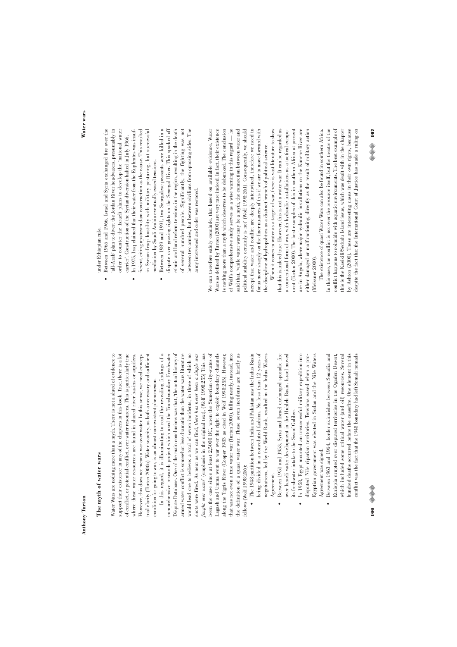# The myth of water wars **The myth of water wars**

Water Wars are nothing more than a myth. There is not a shred of evidence to support their existence in any of the chapters in this book. True, there is a lot of conflict, or potential conflict, over water resources. This is particularly true Water Wars are nothing more than a myth. There is not a shred of evidence to support their existence in any of the chapters in this book. True, there is a lot of conflict, or potential conflict, over water resources. This is particularly true where these water resources are found in shared river basins or aquifers. However, this does not mean a war over water. In this sense, we need concep-However, this does not mean a war over water. In this sense, we need concepual clarity (Turton 2000a). Water scarcity, as both a necessary and sufficient tual clarity (Turton 2000a). Water scarcity, as both a necessary and sufficient where these water resources are found in shared river basins or aquifers. condition for going to war, is an almost non-existent phenomenon. condition for going to war, is an almost non-existent phenomenon.

In this regard, it is illuminating to read the revealing findings of a Dispute Database. One of the main conclusions was that, 'the actual history of armed water conflict is somewhat less dramatic than the water wars literature would lead one to believe: a total of seven incidents, in three of which no been the case since at least 2,5000 BC, when the Sumerian city-states of hat was not even a true water war (Turton 2000), falling neatly, instead, into he definition of a quasi water war. These seven incidents are briefly as In this regard, it is illuminating to read the revealing findings of a comprehensive research project which used the Transboundary Freshwater comprehensive research project which used the Transboundary Freshwater Dispute Database. One of the main conclusions was that, 'the actual history of armed water conflict is somewhat less dramatic than the water wars literature would lead one to believe: a total of seven incidents, in three of which no hots were fired. As near as we can find, there has never been a single war shots were fired. As near as we can find, *there has never been a single war* Sought over water' (emphasis in the original text), (Wolf 1998:255) This has *fought over water*' (emphasis in the original text), (Wolf 1998:255) This has been the case since at least 2,5000 BC, when the Sumerian city-states of agash and Umma went to war over the right to exploit boundary channels. Lagash and Umma went to war over the right to exploit boundary channels along the Tigris River (Cooper 1983 as cited in Wolf 1998:255). However, that was not even a true water war (Turton 2000), falling neatly, instead, into the definition of a quasi water war. These seven incidents are briefly as along the Tigris River (Cooper 1983 as cited in Wolf 1998:255). However, follows (Wolf 1998:256): ollows (Wolf 1998:256):

- being divided in a convoluted fashion. No less than 12 years of • The 1948 partition between India and Pakistan saw the Indus Basin • The 1948 partition between India and Pakistan saw the Indus Basin being divided in a convoluted fashion. No less than 12 years of negotiations, led by the World Bank, resulted in the Indus Waters negotiations, led by the World Bank, resulted in the Indus Waters Agreement.
- Between 1951 and 1953, Syria and Israel exchanged sporadic fire • Between 1951 and 1953, Syria and Israel exchanged sporadic fire over Israeli water development in the Huhleh Basin. Israel moved over Israeli water development in the Huhleh Basin. Israel moved its freshwater intake to the Sea of Galilee. its freshwater intake to the Sea of Galilee.  $\ddot{\phantom{0}}$
- In 1958, Egypt mounted an unsuccessful military expedition into Egyptian government was elected in Sudan and the Nile Waters • In 1958, Egypt mounted an unsuccessful military expedition into disputed Nile riparian territories. Tensions eased when a prodisputed Nile riparian territories. Tensions eased when a pro-Egyptian government was elected in Sudan and the Nile Waters Agreement was signed. Agreement was signed.  $\ddot{\phantom{0}}$
- Between 1963 and 1964, border skirmishes between Somalia and • Between 1963 and 1964, border skirmishes between Somalia and Ethiopia erupted over disputed territories in the Ogaden Desert, which included some critical water (and oil) resources. Several which included some critical water (and oil) resources. Several hundred deaths occurred before the ceasefire. One element in this hundred deaths occurred before the ceasefire. One element in this conflict was the fact that the 1948 boundary had left Somali nomads conflict was the fact that the 1948 boundary had left Somali nomadsEthiopia erupted over disputed territories in the Ogaden Desert,  $\ddot{\phantom{0}}$

**Water wars**

'all-Arab' plan to divert the Jordan River headwaters, presumably in Between 1965 and 1966, Israel and Syria exchanged fire over the • Between 1965 and 1966, Israel and Syria exchanged fire over the 'all-Arab' plan to divert the Jordan River headwaters, presumably in under Ethiopian rule. under Ethiopian rule. l.

- order to counter the Israeli plans to develop the 'national water order to counter the Israeli plans to develop the 'national water In 1975, Iraq claimed that their water from the Euphrates was insuf-• In 1975, Iraq claimed that their water from the Euphrates was insufcarrier'. Construction of the Syrian diversion halted in July 1966. carrier'. Construction of the Syrian diversion halted in July 1966.  $\ddot{\phantom{0}}$
- ficient, citing upstream dam construction as the cause. This resulted ficient, citing upstream dam construction as the cause. This resulted in Syrian-Iraqi hostility with military posturing, but successful in Syrian-Iraqi hostility with military posturing, but successful mediation by Saudi Arabia eventually eased tensions. mediation by Saudi Arabia eventually eased tensions.
	- Between 1989 and 1991, two Senegalese peasants were killed in a • Between 1989 and 1991, two Senegalese peasants were killed in a dispute over grazing rights on the Senegal River. This sparked off dispute over grazing rights on the Senegal River. This sparked off ethnic and land reform tensions in the region, resulting in the death ethnic and land reform tensions in the region, resulting in the death of several hundred people. Significantly, the fighting was not of several hundred people. Significantly, the fighting was not between two armies, but between civilians from opposing sides. The between two armies, but between civilians from opposing sides. The army intervened and order was restored. army intervened and order was restored.  $\ddot{\phantom{0}}$

accept that water and conflict are deeply intertwined, therefore we need to We can therefore safely conclude, that based on available evidence, Water We can therefore safely conclude, that based on available evidence, Water Wars as defined by Turton (2000) are very rare indeed. In fact, their existence Wars as defined by Turton (2000) are very rare indeed. In fact, their existence is nothing more than a myth which deserves to be debunked. The conclusion is nothing more than a myth which deserves to be debunked. The conclusion of Wolf's comprehensive study serves as a wise warning in this regard — he of Wolf's comprehensive study serves as a wise warning in this regard — he said that, 'while water wars may be a myth, the connection between water and said that, 'while water wars may be a myth, the connection between water and oolitical stability certainly is not' (Wolf 1998:261). Consequently, we should political stability certainly is not' (Wolf 1998:261). Consequently, we should accept that water and conflict are deeply intertwined, therefore we need to focus more sharply on the finer nuances of this if we are to move forward with focus more sharply on the finer nuances of this if we are to move forward with the discipline of hydropolitics as a distinct branch of political science. the discipline of hydropolitics as a distinct branch of political science.

are in Angola, where major hydraulic installations on the Kunene River are When it comes to water as a target of war, there is vast literature to show When it comes to water as a target of war, there is vast literature to show that this is indeed true. However, this is not a water war. It can be regarded as a conventional form of war, with hydraulic installations as a tactical component (Turton 2000). The best examples of this in southern Africa at present nent (Turton 2000). The best examples of this in southern Africa at present are in Angola, where major hydraulic installations on the Kunene River are either damaged or malfunctioning, directly as the result of military action either damaged or malfunctioning, directly as the result of military action that this is indeed true. However, this is not a water war. It can be regarded as a conventional form of war, with hydraulic installations as a tactical compo-Meissner 2000). (Meissner 2000).

The existence of quasi Water Wars can also be found in southern Africa. In this case, the conflict is not over the resource itself, but the theatre of the In this case, the conflict is not over the resource itself, but the theatre of the conflict happens to coincide with aquatic environments. The best example of conflict happens to coincide with aquatic environments. The best example of his is the Kasikili/Sedudu Island issue, which was dealt with in the chapter this is the Kasikili/Sedudu Island issue, which was dealt with in the chapter by Ashton (2000). These are interesting cases in their own rights, because by Ashton (2000). These are interesting cases in their own rights, because despite the fact that the International Court of Justice has made a ruling on despite the fact that the International Court of Justice has made a ruling on The existence of quasi Water Wars can also be found in southern Africa.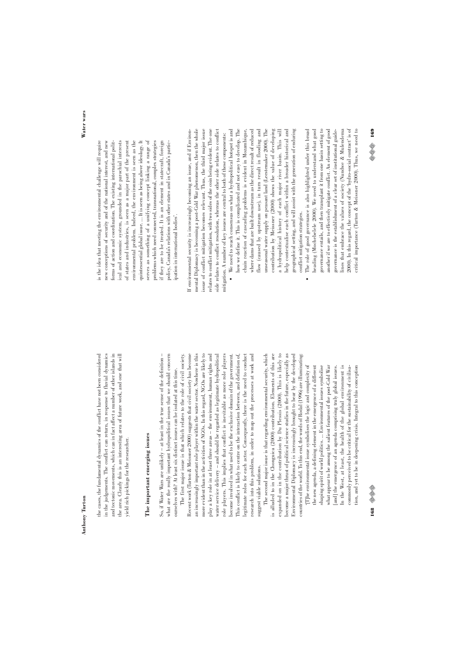and tectonic movements, which can in fact affect a number of other islands in the area. Clearly this is an interesting area of future work, and one that will the cases, the fundamental dynamics of the conflict have not been considered the cases, the fundamental dynamics of the conflict have not been considered in the judgements. The conflict can return, in response to fluvial dynamics in the judgements. The conflict can return, in response to fluvial dynamics and tectonic movements, which can in fact affect a number of other islands in the area. Clearly this is an interesting area of future work, and one that will yield rich pickings for the researcher. yield rich pickings for the researcher.

# The important emerging issues **The important emerging issues**

So, if Water Wars are unlikely - at least in the true sense of the definition -So, if Water Wars are unlikely – at least in the true sense of the definition – what are the really important hydropolitical issues that we should concern what are the really important hydropolitical issues that we should concern ourselves with? At least six distinct issues can be isolated at this time. ourselves with? At least six distinct issues can be isolated at this time.

more evident than in the activities of NGOs. In this regard, NGOs are likely to role players. This implies that conflict is inevitable as more role players The first major issue is that which relates to the role of civil society. Recent work (Turton & Meissner 2000) suggests that civil society has become Recent work (Turton & Meissner 2000) suggests that civil society has become an increasingly important role player within the water sector. Nowhere is this an increasingly important role player within the water sector. Nowhere is this more evident than in the activities of NGOs. In this regard, NGOs are likely to play a key role in at least three areas - the environment, human rights and play a key role in at least three areas – the environment, human rights and water service delivery - and should be regarded as legitimate hydropolitical water service delivery – and should be regarded as legitimate hydropolitical role players. This implies that conflict is inevitable as more role players become involved in what used to be the exclusive domain of the government. This conflict is likely to centre on the interaction between, and definition of, legitimate roles for each actor. Consequently, there is the need to conduct legitimate roles for each actor. Consequently, there is the need to conduct research into this problem, in order to map out the processes at work and research into this problem, in order to map out the processes at work and The first major issue is that which relates to the role of civil society. become involved in what used to be the exclusive domain of the government. This conflict is likely to centre on the interaction between, and definition of, suggest viable solutions. suggest viable solutions.

is alluded to in the Chonguica (2000) contribution. Elements of this are expanded on in the contribution by Du Plessis (2000). This is likely to become a major thrust of political science studies in the future, especially as countries of the world. To this end, the words of Rodal (1996) are illuminating: countries of the world. To this end, the words of Rodal (1996) are illuminating: The second major issue is that regarding environmental security, which The second major issue is that regarding environmental security, which is alluded to in the Chonguica (2000) contribution. Elements of this are expanded on in the contribution by Du Plessis (2000). This is likely to become a major thrust of political science studies in the future, especially as Environmental Diplomacy is increasingly brought to bear by the developed Environmental Diplomacy is increasingly brought to bear by the developed

[T]he environmental issue symbolises the logic and complexity of shaping spirit of world politics. ... Environmental issues symbolise the new agenda, a defining element in the emergence of a different what appear to be among the salient features of the post-Cold War In the West, at least, the health of the global environment is commonly perceived to be critical for the sustainability of civilisation, and yet to be in deepening crisis. Integral to this conception '[T]he environmental issue symbolises the logic and complexity of the new agenda, a defining element in the emergence of a different shaping spirit of world politics. ... Environmental issues symbolise what appear to be among the salient features of the post-Cold War [and] the emergence of an agenda comprising truly global issues. In the West, at least, the health of the global environment is commonly perceived to be critical for the sustainability of civilisation, and yet to be in deepening crisis. Integral to this conception [and] the emergence of an agenda comprising truly global issues.

**168** ©⊗

ical and economic system, grounded in the parochial interests of states and industries, is seen as a major part of the present of states and industries, is seen as a major part of the present serves as something of a unifying concept linking a range of serves as something of a unifying concept linking a range of is the idea that meeting the environmental challenge will require is the idea that meeting the environmental challenge will require new conceptions of security and of the national interest, and new new conceptions of security and of the national interest, and new forms of action and coordination. The existing international political and economic system, grounded in the parochial interests environmental problem. Indeed, the environment is seen as the environmental problem. Indeed, the environment is seen as the quintessential global issue. ... It is seen as being above ideology. It quintessential global issue. ... It is seen as being above ideology. It problems which need connected, transnational, complex strategies if they are to be treated. It is an element in statecraft, foreign if they are to be treated. It is an element in statecraft, foreign policy, Canada's relations with other states and in Canada's particforms of action and coordination. The existing international politproblems which need connected, transnational, complex strategies policy, Canada's relations with other states and in Canada's participation in international bodies'. ipation in international bodies'.

issue of conflict mitigation becomes relevant. Thus, the third major issue If environmental security is increasingly becoming an issue, and if Environmental Diplomacy is becoming a post-Cold War phenomenon, then the whole mental Diplomacy is becoming a post-Cold War phenomenon, then the whole issue of conflict mitigation becomes relevant. Thus, the third major issue relates to conflict mitigation, with two sides of the coin being evident. The one relates to conflict mitigation, with two sides of the coin being evident. The one side relates to conflict resolution, whereas the other side relates to conflict side relates to conflict resolution, whereas the other side relates to conflict If environmental security is increasingly becoming an issue, and if Environmitigation. A number of key issues are central to both of these components: mitigation. A number of key issues are central to both of these components:

- flow (caused by upstream use), in turn result in flooding and contribution by Meissner (2000) shows the value of developing a hydropolitical history of each major river basin. This will • We need to reach consensus on what a hydropolitical hotspot is and  $\bullet\quad$  We need to reach consensus on what a hydropolitical hotspot is and how we define it. This is complicated and not easy to develop. The how we define it. This is complicated and not easy to develop. The chain reaction of cascading problems is evident in Mozambique, where dams that are built downstream as the direct result of reduced where dams that are built downstream as the direct result of reduced flow (caused by upstream use), in turn result in flooding and unseasonal water supply on peasant land (Leestemaker 2000). The unseasonal water supply on peasant land (Leestemaker 2000). The contribution by Meissner (2000) shows the value of developing a hydropolitical history of each major river basin. This will help contextualise each conflict within a broader historical and help contextualise each conflict within a broader historical and geographical setting, and will assist with the generation of enduring geographical setting, and will assist with the generation of enduring chain reaction of cascading problems is evident in Mozambique, conflict mitigation strategies. conflict mitigation strategies.
- governance entails, and then transplant it from one basin setting to The role of good governance is also highlighted under this broad • The role of good governance is also highlighted under this broad heading (Mochebelele 2000). We need to understand what good heading (Mochebelele 2000). We need to understand what good governance entails, and then transplant it from one basin setting to another if we are to effectively mitigate conflict. An element of good another if we are to effectively mitigate conflict. An element of good governance is the establishment of a clear set of institutional guidelines that embrace the values of society (Nundwe  $\&$  Mulendema lines that embrace the values of society (Nundwe & Mulendema 2000). In this regard, the concept of the 'hydro-social contract' is of 2000). In this regard, the concept of the 'hydro-social contract' is of critical importance (Turton & Meissner 2000). Thus, we need to critical importance (Turton & Meissner 2000). Thus, we need to governance is the establishment of a clear set of institutional guide- $\ddot{\phantom{0}}$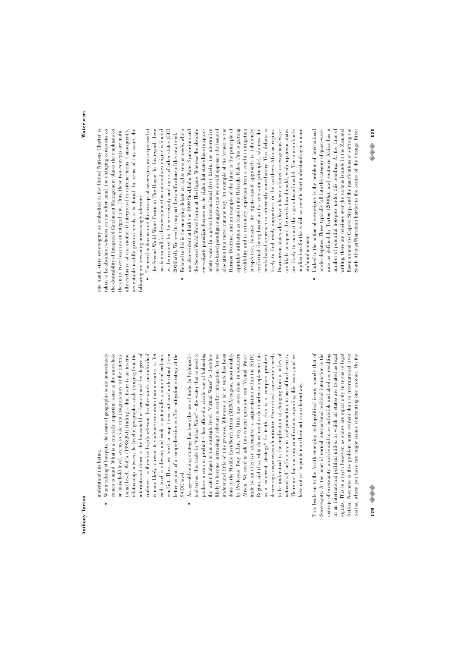understand this better. understand this better.

- each level is relevant, and each is potentially a source of endemic conflict. Thus, we need to map these out and understand them When talking of hotspots, the issue of geographic scale immediately • When talking of hotspots, the issue of geographic scale immediately comes to mind. What is a crucially important issue at the water-hole comes to mind. What is a crucially important issue at the water-hole or household level, seems to pale into insignificance at the internaor household level, seems to pale into insignificance at the international level. Wolf's (1998:261) finding - that there is an inverse tional level. Wolf's (1998:261) finding – that there is an inverse relationship between the level of geographic scale (ranging from the relationship between the level of geographic scale (ranging from the international down to the household or farmer) and the degree of international down to the household or farmer) and the degree of violence – is therefore highly relevant. In other words, an individual violence – is therefore highly relevant. In other words, an individual is more likely to resort to violence over water than a country is. Yet is more likely to resort to violence over water than a country is. Yet each level is relevant, and each is potentially a source of endemic conflict. Thus, we need to map these out and understand them better as part of a comprehensive conflict mitigation strategy at the better as part of a comprehensive conflict mitigation strategy at the SADC level.
- ical terms, this trade in 'Virtual Water' the water that is used to produce a crop or product - has offered a viable way of balancing the water budget at the strategic level. 'Virtual Water' is therefore likely to become increasingly relevant to conflict mitigation. Yet we to be understood is the implication of changing from a policy of An age-old coping strategy has been the use of trade. In hydropolit-• An age-old coping strategy has been the use of trade. In hydropolitical terms, this trade in 'Virtual Water' – the water that is used to produce a crop or product – has offered a viable way of balancing the water budget at the strategic level. 'Virtual Water' is therefore likely to become increasingly relevant to conflict mitigation. Yet we understand little of this process. Whereas a lot of work has been understand little of this process. Whereas a lot of work has been done in the Middle East/North Africa (MENA) region, most notably done in the Middle East/North Africa (MENA) region, most notably by Professor Tony Allan, very little has been done in southern by Professor Tony Allan, very little has been done in southern Africa. We need to ask this central question: can 'Virtual Water' Africa. We need to ask this central question: can 'Virtual Water' trade be an effective alternative to augmentation within the SADC Region, and if so, what do we need to do in order to implement this Region, and if so, what do we need to do in order to implement this as a coherent strategy? In truth, this is a complex problem, deserving a major research initiative. One critical issue which needs deserving a major research initiative. One critical issue which needs to be understood is the implication of changing from a policy of national self-sufficiency in food production, to one of food security. There are far-reaching ramifications regarding this issue, and we There are far-reaching ramifications regarding this issue, and we trade be an effective alternative to augmentation within the SADC as a coherent strategy? In truth, this is a complex problem, national self-sufficiency in food production, to one of food security. have not yet begun to map these out in a coherent way. have not yet begun to map these out in a coherent way.  $\ddot{\phantom{0}}$

This leads on to the fourth emerging hydropolitical issue, namely that of Sovereignty. At the heart of normal international political interaction is the concept of sovereignty, which is said to be indivisible and absolute, resulting basins, where you have two major issues confronting one another. On the This leads on to the fourth emerging hydropolitical issue, namely that of Sovereignty. At the heart of normal international political interaction is the concept of sovereignty, which is said to be indivisible and absolute, resulting in an international political milieu in which all states are treated as legal in an international political milieu in which all states are treated as legal equals. This is a myth however, as states are equal only in terms of legal equals. This is a myth however, as states are equal only in terms of legal iction. Nowhere is this problem more evident than in international river fiction. Nowhere is this problem more evident than in international river pasins, where you have two major issues confronting one another. On the

**Water wars**

one hand, state sovereignty as embodied in the United Nations Charter is taken to be absolute; whereas on the other hand, the changing consensus on taken to be absolute; whereas on the other hand, the changing consensus on the desirability of Integrated Catchment Management places the emphasis on the desirability of Integrated Catchment Management places the emphasis on the entire river basin as an integral unit. Thus, these two concepts are mutually exclusive of one another if interpreted in extreme forms. Consequently, acceptable middle ground needs to be found. In terms of this issue, the acceptable middle ground needs to be found. In terms of this issue, the one hand, state sovereignty as embodied in the United Nations Charter is the entire river basin as an integral unit. Thus, these two concepts are mutually exclusive of one another if interpreted in extreme forms. Consequently, following are becoming increasingly relevant: following are becoming increasingly relevant:

- The need to deconstruct the concept of sovereignty was expressed at • The need to deconstruct the concept of sovereignty was expressed at the Second World Water Forum at The Hague. In this regard, there the Second World Water Forum at The Hague. In this regard, there has been a call for the acceptance that national sovereignty is limited has been a call for the acceptance that national sovereignty is limited by the respect for the sovereignty and rights of other states (GCI by the respect for the sovereignty and rights of other states (GCI 2000b:61). We need to map out the ramifications of this new trend. 2000b:61). We need to map out the ramifications of this new trend.
- priate water in a given international river basin, the alternative needs-based paradigm suggests that we should approach the issue of needs-based approach is inherently conciliatory. This debate is likely to find ready supporters in the southern African region. are likely to support the needs-based model, while upstream states are likely to support the rights-based model. There are clearly Related to this is the emerging debate on rights versus needs, which • Related to this is the emerging debate on rights versus needs, which was also evident at both the 1999 Stockholm Water Symposium and was also evident at both the 1999 Stockholm Water Symposium and the Second World Water Forum at The Hague. Whereas the absolute the Second World Water Forum at The Hague. Whereas the absolute sovereignty paradigm focuses on the rights that states have to appropriate water in a given international river basin, the alternative needs-based paradigm suggests that we should approach the issue of allocation in a more humane way. An example of the former is the allocation in a more humane way. An example of the former is the Harmon Doctrine, and an example of the latter is the principle of Harmon Doctrine, and an example of the latter is the principle of equitable utilisation as found in the Helsinki Rules. This is gaining equitable utilisation as found in the Helsinki Rules. This is gaining credibility and is extremely important from a conflict mitigation credibility and is extremely important from a conflict mitigation perspective, because the rights-based approach is inherently perspective, because the rights-based approach is inherently conflictual (being based on the zero-sum principle), whereas the conflictual (being based on the zero-sum principle), whereas the Downstream states which have a heavy reliance on exogenous water Downstream states which have a heavy reliance on exogenous water are likely to support the rights-based model. There are clearly implications for this which we need to start understanding in a more implications for this which we need to start understanding in a more sovereignty paradigm focuses on the rights that states have to approneeds-based approach is inherently conciliatory. This debate is likely to find ready supporters in the southern African region. are likely to support the needs-based model, while upstream states profound manner. profound manner.  $\ddot{\phantom{0}}$ 
	- wars as defined by Turton (2000a), and southern Africa has a number of potential hotspots under this heading. At the time of Linked to the notion of sovereignty is the problem of international • Linked to the notion of sovereignty is the problem of international border disputes. These typically fall into the category of quasi-water border disputes. These typically fall into the category of quasi-water wars as defined by Turton (2000a), and southern Africa has a number of potential hotspots under this heading. At the time of writing, there are tensions over the various islands in the Zambezi Basin around the Caprivi Strip, and the ramifications of shifting the Basin around the Caprivi Strip, and the ramifications of shifting the bouth African/Namibian border to the centre of the Orange River writing, there are tensions over the various islands in the Zambezi

South African/Namibian border to the centre of the Orange River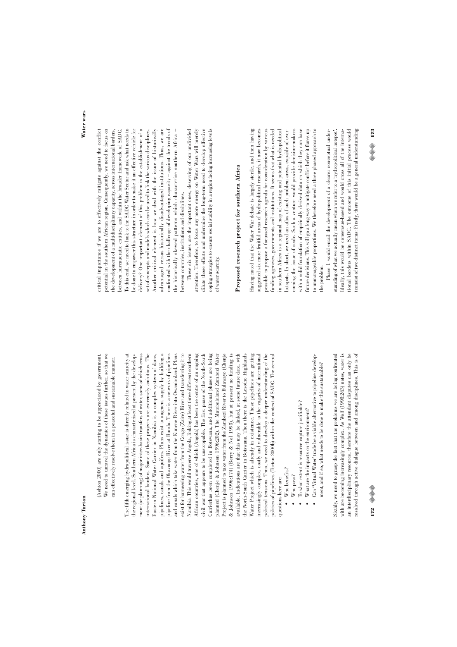We need to unravel the dynamics of these issues further, so that we (Ashton 2000) are only starting to be appreciated by government. We need to unravel the dynamics of these issues further, so that we (Ashton 2000) are only starting to be appreciated by government. can effectively resolve them in a peaceful and sustainable manner. can effectively resolve them in a peaceful and sustainable manner.

oipelines, canals and aquifers. Plans exist to augment supply by building a oipeline from the Okavango River at Rundu. There is a network of pipelines and canals which take water from the Kunene River into Owamboland. Plans exist for harnessing water from the Congo (Zaire) River and transferring it to civil war that appears to be unstoppable. The first phase of the North-South Carrierhas been completed in Botswana, and additional phases are being planned (Chenje & Johnson 1996:202). The Matebeleland Zambezi Water Project is planned to take water from the Zambezi River to Bulawayo (Chenje & Johnson 1996:174) (Berry & Nel 1993), but at present no funding is & Johnson 1996:174) (Berry & Nel 1993), but at present no funding is Water Project which is already in existence. These pipelines are getting The fifth emerging hydropolitical issue is directly related to water scarcity at The fifth emerging hydropolitical issue is directly related to water scarcity at the regional level. Southern Africa is characterised at present by the developthe regional level. Southern Africa is characterised at present by the development (or planning) of major inter-basin transfers of water, some of which cross ment (or planning) of major inter-basin transfers of water, some of which cross nternational borders. Some of these projects are extremely ambitious. The international borders. Some of these projects are extremely ambitious. The Eastern National Water Carrier in Namibia is a complex system of dams, pipelines, canals and aquifers. Plans exist to augment supply by building a pipeline from the Okavango River at Rundu. There is a network of pipelines and canals which take water from the Kunene River into Owamboland. Plans exist for harnessing water from the Congo (Zaire) River and transferring it to Namibia. This would traverse Angola, linking at least three different southern Namibia. This would traverse Angola, linking at least three different southern African countries, one of which (Angola) has been the centre of an ongoing African countries, one of which (Angola) has been the centre of an ongoing civil war that appears to be unstoppable. The first phase of the North-South Carrierhas been completed in Botswana, and additional phases are being planned (Chenje & Johnson 1996:202). The Matebeleland Zambezi Water Project is planned to take water from the Zambezi River to Bulawayo (Chenje available. Indications are that this may be linked, at some future date, with available. Indications are that this may be linked, at some future date, with he North-South Carrier in Botswana. Then there is the Lesotho Highlands the North-South Carrier in Botswana. Then there is the Lesotho Highlands Water Project which is already in existence. These pipelines are getting increasingly complex, costly and vulnerable to the vagaries of international increasingly complex, costly and vulnerable to the vagaries of international political tensions. Thus, we need to develop a deeper understanding of the political tensions. Thus, we need to develop a deeper understanding of the politics of pipelines (Turton 2000b) within the context of SADC. The central politics of pipelines (Turton 2000b) within the context of SADC. The central Eastern National Water Carrier in Namibia is a complex system of dams, questions here are: questions here are:

- $\bullet$  Who benefits? • Who benefits?
	- Who pays?
- To what extent is resource capture justifiable? • To what extent is resource capture justifiable?
	- What are the impacts on the environment?  $\bullet$  What are the impacts on the environment?  $\ddot{\phantom{0}}$
- Can 'Virtual Water' trade be a viable alternative to pipeline develop-• Can 'Virtual Water' trade be a viable alternative to pipeline development, and if so, what needs to be done to make this sustainable? ment, and if so, what needs to be done to make this sustainable?

with are becoming increasingly complex. As Wolf (1998:263) notes, water is an interdisciplinary resource, therefore the attendant disputes can only be resolved through active dialogue between and among disciplines. This is of Sixthly, we need to grasp the fact that the problems we are being confronted Sixthly, we need to grasp the fact that the problems we are being confronted with are becoming increasingly complex. As Wolf (1998:263) notes, water is an interdisciplinary resource, therefore the attendant disputes can only be resolved through active dialogue between and among disciplines. This is of

critical importance if we are to effectively mitigate against the conflict critical importance if we are to effectively mitigate against the conflict between bureaucratic entities, and within the broader framework of SADC. Io this end, we need to look to the SADC Water Sector and ask what needs to be done to empower this structure in order to make it an effective vehicle for delivery? One important element of this problem is the establishment of a delivery? One important element of this problem is the establishment of a Another critical element is how we deal with the issue of historically advantaged versus historically disadvantaged institutions. Thus, we are confronted with the challenge of developing capacity - against the trends of potential in the southern African region. Consequently, we need to focus on potential in the southern African region. Consequently, we need to focus on the development of a multidisciplinary capacity, across international borders, between bureaucratic entities, and within the broader framework of SADC. To this end, we need to look to the SADC Water Sector and ask what needs to be done to empower this structure in order to make it an effective vehicle for set of concepts and models which can be used to link the various disciplines. Another critical element is how we deal with the issue of historically advantaged versus historically disadvantaged institutions. Thus, we are confronted with the challenge of developing capacity – against the trends of the historically skewed patterns which characterise southern Africa the historically skewed patterns which characterise southern Africa – the development of a multidisciplinary capacity, across international borders, set of concepts and models which can be used to link the various disciplines. between countries, institutions and disciplines. between countries, institutions and disciplines.

dilute those efforts and undermine the long-term need to develop effective These six issues are the important ones, deserving of our undivided These six issues are the important ones, deserving of our undivided attention. Therefore, to focus any more energy on Water Wars will merely attention. Therefore, to focus any more energy on Water Wars will merely dilute those efforts and undermine the long-term need to develop effective coping strategies to ensure social stability in a region facing increasing levels coping strategies to ensure social stability in a region facing increasing levels of water scarcity. of water scarcity.

# Proposed research project for southern Africa **Proposed research project for southern Africa**

in southern Africa is a regional map of existing and potential hydropolitical with a solid foundation of empirically derived data on which they can base future decisions. This will go a long way to mitigate conflict before it flares up to unmanageable proportions. We therefore need a three phased approach to Having noted that the Water War debate is largely sterile, and then having Having noted that the Water War debate is largely sterile, and then having suggested six more fruitful areas of hydropolitical research, it now becomes possible to propose a focussed research agenda for consideration by various unding agencies, governments and institutions. It seems that what is needed funding agencies, governments and institutions. It seems that what is needed in southern Africa is a regional map of existing and potential hydropolitical notspots. In short, we need an atlas of such problem areas, capable of overcoming the issue of scale. Such a venture would provide decision-makers with a solid foundation of empirically derived data on which they can base future decisions. This will go a long way to mitigate conflict before it flares up to unmanageable proportions. We therefore need a three phased approach to suggested six more fruitful areas of hydropolitical research, it now becomes possible to propose a focussed research agenda for consideration by various hotspots. In short, we need an atlas of such problem areas, capable of overcoming the issue of scale. Such a venture would provide decision-makers he problem. the problem.

Phase 1 would entail the development of a clearer conceptual understanding of what we actually mean when we refer to a 'hydropolitical hotspot'. Ideally, this would be consensus-based and would cross all of the internacional borders within SADC. The outcome of this initial process would tional borders within SADC. The outcome of this initial process would consist of two distinct items: Firstly, there would be a general understanding tconsist of two distinct items: Firstly, there would be a general understanding Phase 1 would entail the development of a clearer conceptual understanding of what we actually mean when we refer to a 'hydropolitical hotspot'. Ideally, this would be consensus-based and would cross all of the interna-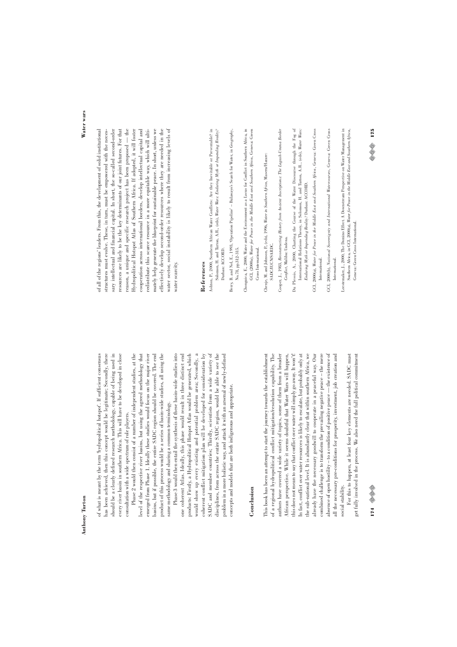has been achieved, then this concept would be legitimate; Secondly, there should be a clearly defined research methodology, capable of being used in of what is meant by the term 'hydropolitical hotspot'. If sufficient consensus of what is meant by the term 'hydropolitical hotspot'. If sufficient consensus has been achieved, then this concept would be legitimate; Secondly, there should be a clearly defined research methodology, capable of being used in every river basin in southern Africa. This will have to be developed in close every river basin in southern Africa. This will have to be developed in close consultation with a wide spectrum of role players. consultation with a wide spectrum of role players.

Phase 2 would then consist of a number of independent studies, at the Phase 2 would then consist of a number of independent studies, at the level of the respective river basins, but using the agreed methodology that level of the respective river basins, but using the agreed methodology that emerged from Phase 1. Ideally these studies would focus on the major river emerged from Phase 1. Ideally these studies would focus on the major river basins, but if possible, the entire SADC region should be covered. The end basins, but if possible, the entire SADC region should be covered. The end product of this process would be a series of basin-wide studies, all using the product of this process would be a series of basin-wide studies, all using the same methodology and sharing a common terminology. same methodology and sharing a common terminology.

Phase 3 would then entail the synthesis of these basin-wide studies into would show up every existing and potential problem area; Secondly, a coherent conflict mitigation plan will be developed for consideration by SADC and member countries; Thirdly, scientists from a wide variety of SADC and member countries; Thirdly, scientists from a wide variety of Phase 3 would then entail the synthesis of these basin-wide studies into one coherent Atlas. Ideally, this phase would result in three distinct end one coherent Atlas. Ideally, this phase would result in three distinct end products: Firstly, a Hydropolitical Hotspot Atlas would be generated, which products: Firstly, a Hydropolitical Hotspot Atlas would be generated, which would show up every existing and potential problem area; Secondly, a coherent conflict mitigation plan will be developed for consideration by disciplines, from across the entire SADC region, would be able to see the disciplines, from across the entire SADC region, would be able to see the problem in a more holistic way, and attack it with an arsenal of newly-defined problem in a more holistic way, and attack it with an arsenal of newly-defined concepts and models that are both indigenous and appropriate. concepts and models that are both indigenous and appropriate.

# **Conclusion**

authors have covered a wide variety of topics, some of them from a broader African perspective. While it seems doubtful that Water Wars will happen, In fact, conflict over water resources is likely to escalate, but probably only at the sub-national level. It is abundantly clear that within southern Africa, we This book has been an attempt to start the journey towards the establishment This book has been an attempt to start the journey towards the establishment of a regional hydropolitical conflict mitigation/resolution capability. The of a regional hydropolitical conflict mitigation/resolution capability. The authors have covered a wide variety of topics, some of them from a broader his does not mean to say that conflict over water will simply go away. It won't! In fact, conflict over water resources is likely to escalate, but probably only at the sub-national level. It is abundantly clear that within southern Africa, we already have the necessary goodwill to cooperate in a peaceful way. Our already have the necessary goodwill to cooperate in a peaceful way. Our combined challenge is to transform the prevailing negative peace - the mere combined challenge is to transform the prevailing negative peace – the mere absence of open hostility - to a condition of positive peace - the existence of absence of open hostility – to a condition of positive peace — the existence of all the necessary pre-conditions for prosperity, investment, job creation and all the necessary pre-conditions for prosperity, investment, job creation and African perspective. While it seems doubtful that Water Wars will happen, this does not mean to say that conflict over water will simply go away. It won't! social stability. social stability.

For this to happen, at least four key elements are needed. SADC must For this to happen, at least four key elements are needed. SADC must get fully involved in the process. We also need the full political commitment get fully involved in the process. We also need the full political commitment

174 ©⊗

**Water wars**

of all of the regions' leaders. From this, the development of solid institutional reason, a unique and specific research project has been proposed - the nately help generate the blueprint for sustainable peace. In short, unless we effectively develop second-order resources where they are needed in the vater sector, social instability is likely to result from increasing levels of of all of the regions' leaders. From this, the development of solid institutional structures must evolve. These, in turn, must be empowered with the necessary intellectual and financial capital. In short, the so-called second-order sary intellectual and financial capital. In short, the so-called second-order resources are likely to be the key determinants of our joint futures. For that resources are likely to be the key determinants of our joint futures. For that reason, a unique and specific research project has been proposed — the Hydropolitical Hotspot Atlas of Southern Africa. If adopted, it will foster Hydropolitical Hotspot Atlas of Southern Africa. If adopted, it will foster cooperation across international borders, develop intellectual capital and cooperation across international borders, develop intellectual capital and redistribute this scarce resource in a more equitable way, which will ultimately help generate the blueprint for sustainable peace. In short, unless we effectively develop second-order resources where they are needed in the water sector, social instability is likely to result from increasing levels of structures must evolve. These, in turn, must be empowered with the necesredistribute this scarce resource in a more equitable way, which will ultivater scarcity. water scarcity.

# **References**

- Ashton, P., 2000, Southern African Water Conflicts: Are they Inevitable or Preventable? in Ashton, P., 2000, Southern African Water Conflicts: Are they Inevitable or Preventable? in Solomon, H. and Turton, A.R., (eds), Water Wars: Enduring Myth or Impending Reality? Solomon, H. and Turton, A.R., (eds), *Water Wars: Enduring Myth or Impending Reality?* Durban: ACCORD. Durban: ACCORD.
- Berry, B. and Nel, E., 1993, 'Operation Pipeline' Bulawayo's Search for Water, in Geography, Berry, B. and Nel, E., 1993, 'Operation Pipeline' – Bulawayo's Search for Water, in *Geography*, No.78, pp.312-315. No.78, pp.312-315.
- Chonguica, E., 2000, Water and the Environment as a Locus for Conflict in Southern Africa, in Chonguica, E., 2000, Water and the Environment as a Locus for Conflict in Southern Africa, in GCI, (2000a), Water for Peace in the Middle East and Southern Africa, Geneva: Green GCI, (2000a), *Water for Peace in the Middle East and Southern Africa*, Geneva: Green Cross International. Cross International.
- Chenje, M. and Johnson, P., (eds), 1996, Water in Southern Africa, Maseru/Harare Chenje, M. and Johnson, P., (eds), 1996, *Water in Southern Africa*, Maseru/Harare: SADC/IUCN/SARDC. SADC/IUCN/SARDC.
- Cooper, J., 1983, Reconstructing History from Ancient Inscriptions: The Lagash-Umma Border Cooper, J., 1983, *Reconstructing History from Ancient Inscriptions: The Lagash-Umma Border* Conflict, Malibu: Undena.

*Conflict*, Malibu: Undena.

- Du Plessis, A., 2000, Charting the Course of the Water Discourse through the Fog of Du Plessis, A., 2000, Charting the Course of the Water Discourse through the Fog of International Relations Theory, in Solomon, H. and Turton, A.R., (eds), Water Wars: International Relations Theory, in Solomon, H. and Turton, A.R., (eds), *Water Wars:*
- GCI, 2000(a), Water for Peace in the Middle East and Southern Africa, Geneva: Green Cross GCI, 2000(a), *Water for Peace in the Middle East and Southern Africa*, Geneva: Green Cross Enduring Myth or Impending Reality? Durban: ACCORD. *Enduring Myth or Impending Reality?* Durban: ACCORD.
- GCI, 2000(b), National Sovereignty and International Watercourses, Geneva: Green Cross GCI, 2000(b), *National Sovereignty and International Watercourses*, Geneva: Green Cross International. International.

International.

International.

Leestemaker, J., 2000, The Domino Effect. A Downstream Perspective on Water Management in Leestemaker, J., 2000, The Domino Effect. A Downstream Perspective on Water Management in Southern Africa, in GCI, 2000(a), Water for Peace in the Middle East and Southern Africa, Southern Africa, in GCI, 2000(a), *Water for Peace in the Middle East and Southern Africa*, Geneva: Green Cross International. Geneva: Green Cross International.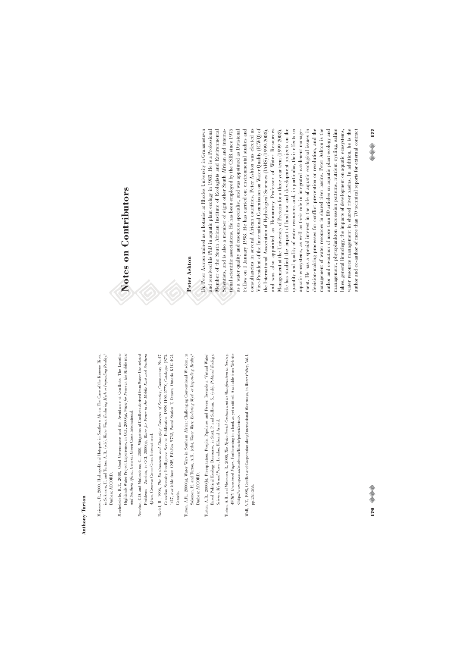- Meissner, R., 2000, Hydropolitical Hotspots in Southern Africa: The Case of the Kunene River, Meissner, R., 2000, Hydropolitical Hotspots in Southern Africa: The Case of the Kunene River, in Solomon, H. and Turton, A.R., (eds), Water Wars: Enduring Myth or Impending Reality? in Solomon, H. and Turton, A.R., (eds), *Water Wars: Enduring Myth or Impending Reality?* Durban: ACCORD. Durban: ACCORD.
- Mochebelele, R.T., 2000, Good Governance and the Avoidance of Conflicts: The Lesotho Mochebelele, R.T., 2000, Good Governance and the Avoidance of Conflicts: The Lesotho Highlands Water Project Experience, in GCI, 2000(a), Water for Peace in the Middle East Highlands Water Project Experience, in GCI, 2000(a), *Water for Peace in the Middle East* and Southern Africa, Geneva: Green Cross International. *and Southern Africa*, Geneva: Green Cross International.
- Nundwe, C.D. and Mulendema, C., 2000, Mitigation of Conflicts derived from Water Use-related Nundwe, C.D. and Mulendema, C., 2000, Mitigation of Conflicts derived from Water Use-related Problems - Zambia, in GCI, 2000(a), Water for Peace in the Middle East and Southern Problems – Zambia, in GCI, 2000(a), *Water for Peace in the Middle East and Southern* Africa, Geneva: Green Cross International. *Africa*, Geneva: Green Cross International.
- Rodal, B., 1996, The Environment and Changing Concepts of Security, Commentary No.47, Rodal, B., 1996, *The Environment and Changing Concepts of Security*, Commentary No.47, Canadian Security Intelligence Service Publication, ISSN 1192-277X, Catalogue JS73-Canadian Security Intelligence Service Publication, ISSN 1192-277X, Catalogue JS73- 1/47, available from CSIS, P.O.Box 9732, Postal Station T, Ottawa, Ontario K1G 4G4, 1/47, available from CSIS, P.O.Box 9732, Postal Station T, Ottawa, Ontario K1G 4G4, Canada.
- Turton, A.R., 2000(a), Water Wars in Southern Africa: Challenging Conventional Wisdom, in Solomon, H. and Turton, A.R., (eds), Water Wars: Endaring Myth or Impending Reality? Turton, A.R., 2000(a), Water Wars in Southern Africa: Challenging Conventional Wisdom, in Solomon, H. and Turton, A.R., (eds), *Water Wars: Enduring Myth or Impending Reality?* Durban: ACCORD. Durban: ACCORD.
- Turton, A.R., 2000(b), Precipitation, People, Pipelines and Power: Towards a 'Virtual Water' Turton, A.R., 2000(b), Precipitation, People, Pipelines and Power: Towards a 'Virtual Water' Based Political Ecology Discourse, in Stott, P. and Sullivan, S., (eds), Political Ecology: Based Political Ecology Discourse, in Stott, P. and Sullivan, S., (eds), *Political Ecology:* Science, Myth and Power, London: Edward Arnold. *Science, Myth and Power*, London: Edward Arnold.
- Turton, A.R. and Meissner, R., 2000, The Hydro Social Contract and its Manifestation in Society, Turton, A.R. and Meissner, R., 2000, *The Hydro Social Contract and its Manifestation in Society*, AWIRU Occasional Paper, Forthcoming in a book as yet untitled. Available from Website *AWIRU Occasional Paper*, Forthcoming in a book as yet untitled. Available from Website <http://www.up.ac.za/academic/libarts/polsci/awiru>. <http://www.up.ac.za/academic/libarts/polsci/awiru>.
- Wolf, A.T., 1998, Conflict and Cooperation along International Waterways, in Water Policy, Vol.1, Wolf, A.T., 1998, Conflict and Cooperation along International Waterways, in *Water Policy*, Vol.1, pp.251-265. pp.251-265.

# Notes on Contributors **Notes on Contributors**

# **Peter Ashton**

and received his PhD in aquatic plant ecology in 1983. He is a Professional Member of the South African Institute of Ecologists and Environmental consultancies in several African countries. Peter Ashton was elected as consultancies in several African countries. Peter Ashton was elected as Vice-President of the International Commission on Water Quality (ICWQ) of He has studied the impact of land use and development projects on the He has studied the impact of land use and development projects on the ment. He has a special interest in the role of aquatic ecological issues in decision-making processes for conflict prevention or resolution, and the Dr. Peter Ashton trained as a botanist at Rhodes University in Grahamstown Dr. Peter Ashton trained as a botanist at Rhodes University in Grahamstown and received his PhD in aquatic plant ecology in 1983. He is a Professional Member of the South African Institute of Ecologists and Environmental Scientists, and is also a member of eight other South African and international scientific associations. He has been employed by the CSIR since 1975 tional scientific associations. He has been employed by the CSIR since 1975 as a water quality and resources specialist, and was appointed as Divisional as a water quality and resources specialist, and was appointed as Divisional Fellow on 1 January 1998. He has carried out environmental studies and Fellow on 1 January 1998. He has carried out environmental studies and Vice-President of the International Commission on Water Quality (ICWQ) of the International Association of Hydrological Sciences (IAHS) (1999-2003), and was also appointed as Honourary Professor of Water Resources Management at the University of Pretoria for a three-year term (1999-2002). quantity and quality of water resources and, in particular, their effects on quantity and quality of water resources and, in particular, their effects on aquatic ecosystems, as well as their role in integrated catchment management. He has a special interest in the role of aquatic ecological issues in decision-making processes for conflict prevention or resolution, and the management of water resources in shared river basins. Peter Ashton is the management of water resources in shared river basins. Peter Ashton is the author and co-author of more than 80 articles on aquatic plant ecology and author and co-author of more than 80 articles on aquatic plant ecology and management, phytoplankton succession patterns, nutrient cycling, saline management, phytoplankton succession patterns, nutrient cycling, saline lakes, general limnology, the impacts of development on aquatic ecosystems, water resource management in shared river basins. In addition, he is the water resource management in shared river basins. In addition, he is the author and co-author of more than 70 technical reports for external contract author and co-author of more than 70 technical reports for external contract Scientists, and is also a member of eight other South African and internathe International Association of Hydrological Sciences (IAHS) (1999-2003), and was also appointed as Honourary Professor of Water Resources Management at the University of Pretoria for a three-year term (1999-2002). aquatic ecosystems, as well as their role in integrated catchment managelakes, general limnology, the impacts of development on aquatic ecosystems,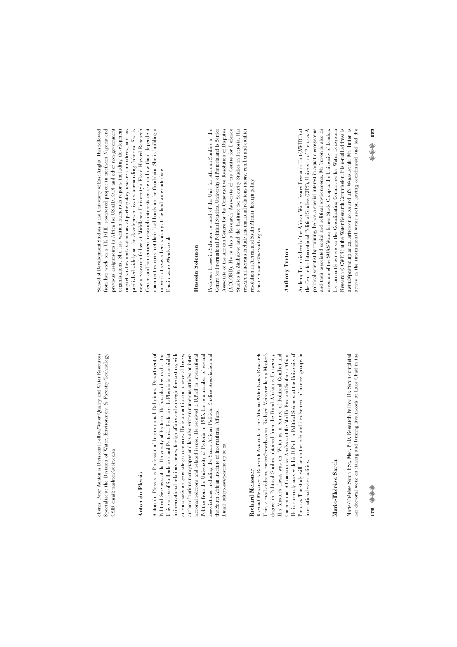clients. Peter Ashton is Divisional Fellow/Water Quality and Water Resources ality and Water Resources Specialist at the Division of Water, Environment & Forestry Technology, Specialist at the Division of Water, Environment & Forestry Technology, clients. Peter Ashton is Divisional Fellow/Water Qu CSIR email: pashton@csir.co.za CSIR email: pashton@csir.co.za

#### Anton du Plessis **Anton du Plessis**

Anton du Plessis is Professor of International Relations, Department of Political Sciences at the University of Pretoria. He has also lectured at the an emphasis on geostrategic concerns. He is a contributor to several books, Anton du Plessis is Professor of International Relations, Department of Political Sciences at the University of Pretoria. He has also lectured at the Universities of Stellenbosch and Pretoria. Professor du Plessis is a specialist Universities of Stellenbosch and Pretoria. Professor du Plessis is a specialist in international relations theory, foreign affairs and strategic forecasting, with in international relations theory, foreign affairs and strategic forecasting, with author of various monographs and has also written numerous articles on interauthor of various monographs and has also written numerous articles on international relations and related issues. He received a D.Phil in International national relations and related issues. He received a D.Phil in International Politics from the University of Pretoria in 1985. He is a member of several Politics from the University of Pretoria in 1985. He is a member of several associations, including the South African Political Studies Association and associations, including the South African Political Studies Association and an emphasis on geostrategic concerns. He is a contributor to several books, the South African Institute of International Affairs. the South African Institute of International Affairs. Smail: adupples@postino.up.ac.za. Email: adupples@postino.up.ac.za.

#### Richard Meissner **Richard Meissner**

Cooperation: A Comparative Analysis of the Middle East and Southern Africa. degree in Political Studies obtained from the Rand Afrikaans University. degree in Political Studies obtained from the Rand Afrikaans University. His Master's thesis was on: Water as a Source of Political Conflict and He is currently busy with his D.Phil. in Political Sciences at the University of Pretoria. The study will be on the role and involvement of interest groups in Richard Meissner is Research Associate at the African Water Issues Research Richard Meissner is Research Associate at the African Water Issues Research Unit, e-mail address, meiss@mweb.co.za. Richard Meissner has a Master's Unit, e-mail address, meiss@mweb.co.za. Richard Meissner has a Master's His Master's thesis was on: Water as a Source of Political Conflict and He is currently busy with his D.Phil. in Political Sciences at the University of Pretoria. The study will be on the role and involvement of interest groups in Cooperation: A Comparative Analysis of the Middle East and Southern Africa. international water politics. international water politics.

# Marie-Thérèse Sarch **Marie-Thérèse Sarch**

Marie-Thérèse Sarch BSc, Msc, PhD, Research Fellow. Dr. Sarch completed Marie-Thérèse Sarch BSc, Msc, PhD, Research Fellow. Dr. Sarch completed ner doctoral work on fishing and farming livelihoods at Lake Chad in the her doctoral work on fishing and farming livelihoods at Lake Chad in the

organisations. She has written numerous reports including development impact studies and evaluations of participatory research initiatives, and has Centre and her current research interests centre on how flood dependent School of Development Studies at the University of East Anglia. This followed School of Development Studies at the University of East Anglia. This followed from her work on a UK-DFID sponsored project in northern Nigeria and from her work on a UK-DFID sponsored project in northern Nigeria and previous assignments in Africa for USAID, ODI and other non-government previous assignments in Africa for USAID, ODI and other non-government organisations. She has written numerous reports including development published widely on the development issues surrounding fisheries. She is now a research fellow at Middlesex University's Flood Hazard Research now a research fellow at Middlesex University's Flood Hazard Research Centre and her current research interests centre on how flood dependent communities construct their livelihoods on the floodplain. She is building a communities construct their livelihoods on the floodplain. She is building a impact studies and evaluations of participatory research initiatives, and has published widely on the development issues surrounding fisheries. She is network of researchers working at the land-water interface. network of researchers working at the land-water interface. imail: t.sarch@mdx.ac.uk Email: t.sarch@mdx.ac.uk

#### Hussein Solomon **Hussein Solomon**

Professor Hussein Solomon is head of the Unit for African Studies at the Associate of the African Centre for the Constructive Resolution of Disputes (ACCORD). He is also a Research Associate of the Centre for Defence Professor Hussein Solomon is head of the Unit for African Studies at the Centre for International Political Studies, University of Pretoria and is Senior Centre for International Political Studies, University of Pretoria and is Senior (ACCORD). He is also a Research Associate of the Centre for Defence Studies in Zimbabwe and the Institute for Security Studies in Pretoria. His research interests include international relations theory, conflict and conflict research interests include international relations theory, conflict and conflict Associate of the African Centre for the Constructive Resolution of Disputes Studies in Zimbabwe and the Institute for Security Studies in Pretoria. His resolution in Africa, and South African foreign policy. resolution in Africa, and South African foreign policy. Imail: hussein@accord.org.za Email: hussein@accord.org.za

#### **Anthony Turton Anthony Turton**

Anthony Turton is head of the African Water Issues Research Unit (AWIRU) at the Centre for International Political Studies (CIPS), University of Pretoria. A political scientist by training, he has a special interest in aquatic ecosystems and their associated social and political environments. Mr Turton is also an associate of the SOAS Water Issues Study Group at the University of London. He currently serves on the Coordinating Committee for Water Ecosystem Research (CCWER) at the Water Research Commission. His e-mail address is awiru@postino.up.ac.za, art@icon.co.za and at31@soas.ac.uk. Mr. Turton is Anthony Turton is head of the African Water Issues Research Unit (AWIRU) at the Centre for International Political Studies (CIPS), University of Pretoria. A and their associated social and political environments. Mr Turton is also an He currently serves on the Coordinating Committee for Water Ecosystem active in the international water sector, having coordinated and led the active in the international water sector, having coordinated and led the political scientist by training, he has a special interest in aquatic ecosystems associate of the SOAS Water Issues Study Group at the University of London. Research (CCWER) at the Water Research Commission. His e-mail address is awiru@postino.up.ac.za, art@icon.co.za and at31@soas.ac.uk. Mr. Turton is